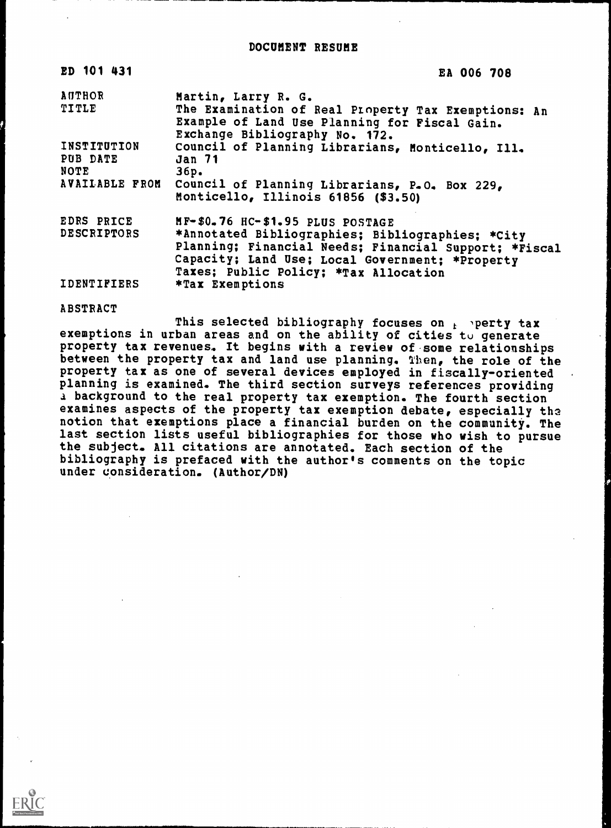| ED 101 431                       | EA 006 708                                                                                                                                                                                                                                |
|----------------------------------|-------------------------------------------------------------------------------------------------------------------------------------------------------------------------------------------------------------------------------------------|
| AUTHOR                           | Martin, Larry R. G.                                                                                                                                                                                                                       |
| TITLE                            | The Examination of Real Property Tax Exemptions: An<br>Example of Land Use Planning for Fiscal Gain.<br>Exchange Bibliography No. 172.                                                                                                    |
| INSTITUTION<br>PUB DATE<br>NOTE  | Council of Planning Librarians, Monticello, Ill.<br><b>Jan 71</b><br>36p.                                                                                                                                                                 |
| AVAILABLE FROM                   | Council of Planning Librarians, P.O. Box 229,<br>Monticello, Illinois 61856 (\$3.50)                                                                                                                                                      |
| EDRS PRICE<br><b>DESCRIPTORS</b> | MF-\$0.76 HC-\$1.95 PLUS POSTAGE<br>*Annotated Bibliographies; Bibliographies; *City<br>Planning; Financial Needs; Financial Support; *Fiscal<br>Capacity; Land Use; Local Government; *Property<br>Taxes; Public Policy; *Tax Allocation |
| <b>IDENTIFIERS</b>               | *Tax Exemptions                                                                                                                                                                                                                           |

ABSTRACT

This selected bibliography focuses on  $t$  'perty tax exemptions in urban areas and on the ability of cities to generate property tax revenues. It begins with a review of some relationships between the property tax and land use planning. Then, the role of the property tax as one of several devices employed in fiscally-oriented planning is examined. The third section surveys references providing a background to the real property tax exemption. The fourth section examines aspects of the property tax exemption debate, especially the notion that exemptions place a financial burden on the community. The last section lists useful bibliographies for those who wish to pursue the subject. All citations are annotated. Each section of the bibliography is prefaced with the author's comments on the topic under consideration. (Author/DN)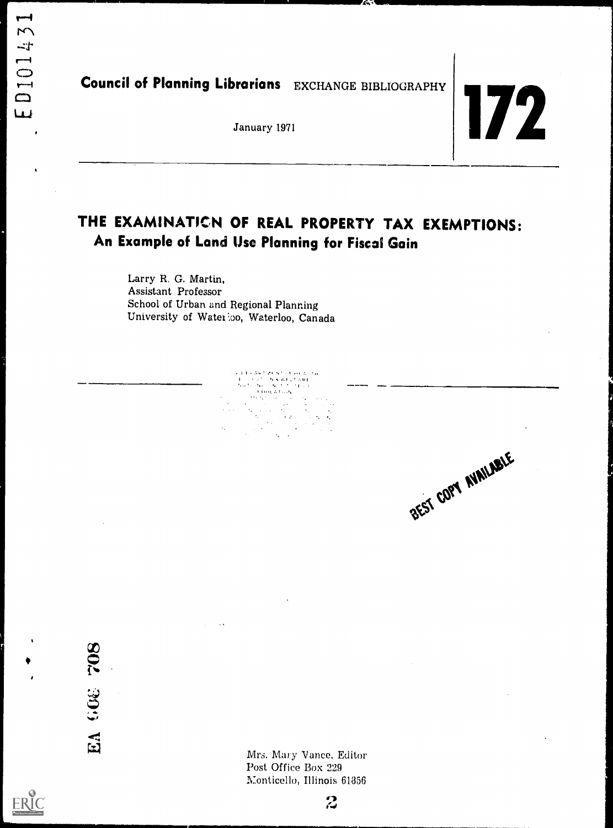Council of Planning Librarians EXCHANGE BIBLIOGRAPHY

# January 1971

### THE EXAMINATICN OF REAL PROPERTY TAX EXEMPTIONS: An Example of Land Use Planning for Fiscal Gain

化丙烯酸乙酯

Larry R. G. Martin, Assistant Professor School of Urban and Regional Planning University of Waterloo, Waterloo, Canada

BEST COPY NUNLABLE

EA 608 708

ERIC

Mrs. Mary Vance, Editor Post Office Box 229 Monticello, Illinois 61856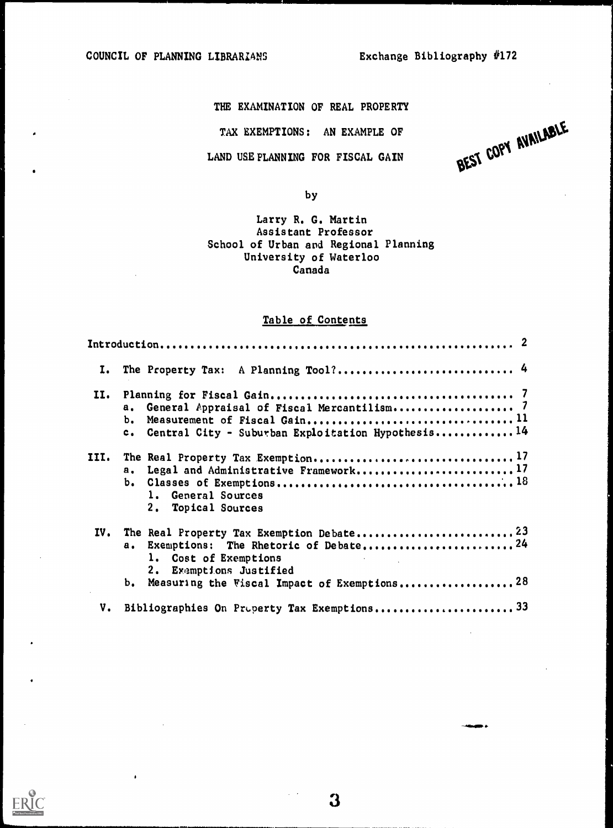**ERIC** 

TAX EXEMPTIONS: AN EXAMPLE OF

LAND USE PLANNING FOR FISCAL GAIN

THE EXAMINATION OF REAL PROPERTY<br>TAX EXEMPTIONS: AN EXAMPLE OF AUNILABLE

by

#### Larry R. G. Martin Assistant Professor School of Urban and Regional Planning University of Waterloo Canada

#### Table of Contents

| I.   | The Property Tax: A Planning Tool? 4                                                                          |  |
|------|---------------------------------------------------------------------------------------------------------------|--|
| II.  | а.<br>ь.<br>Central City - Suburban Exploitation Hypothesis14<br>$c_{\bullet}$                                |  |
| III. | Legal and Administrative Framework17<br>$a_{\bullet}$<br>1. General Sources<br>2.<br>Topical Sources          |  |
| IV.  | Exemptions: The Rhetoric of Debate24<br>$\mathbf{a}$ .<br>1. Cost of Exemptions<br>Exemptions Justified<br>2. |  |
|      | Measuring the Viscal Impact of Exemptions 28<br>ь.                                                            |  |
| V.   |                                                                                                               |  |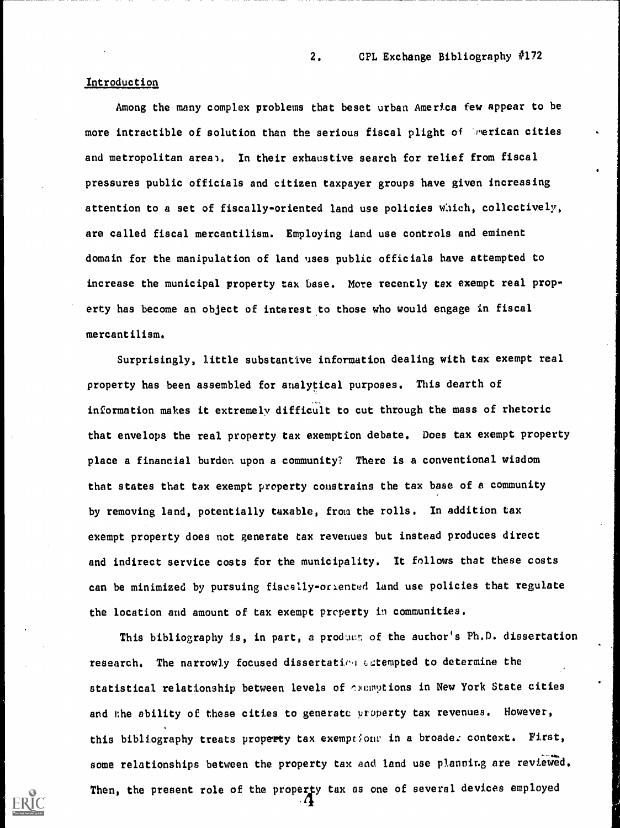#### Introduction

Among the many complex problems that beset urban America few appear to be more intractible of solution than the serious fiscal plight of inerican cities and metropolitan area). In their exhaustive search for relief from fiscal pressures public officials and citizen taxpayer groups have given increasing attention to a set of fiscally-oriented land use policies which, collectively, are called fiscal mercantilism. Employing land use controls and eminent domain for the manipulation of land uses public officials have attempted to increase the municipal property tax base. More recently tax exempt real property has become an object of interest to those who would engage in fiscal mercantilism.

Surprisingly, little substantive information dealing with tax exempt real property has been assembled for analytical purposes. This dearth of information makes it extremely difficult to cut through the mass of rhetoric that envelops the real property tax exemption debate. Does tax exempt property place a financial burden, upon a community? There is a conventional wisdom that states that tax exempt property constrains the tax base of a community by removing land, potentially taxable, from the rolls. In addition tax exempt property does not generate tax revenues but instead produces direct and indirect service costs for the municipality. It follows that these costs can be minimized by pursuing fiscally-orlented land use policies that regulate the location and amount of tax exempt prcperty in communities.

This bibliography is, in part, a product of the author's Ph.D. dissertation research. The narrowly focused dissertation actempted to determine the statistical relationship between levels of exemptions in New York State cities and the ability of these cities to generate property tax revenues. However, this bibliography treats property tax exemptions in a broade: context. First, some relationships between the property tax and land use planning are reviewed. Then, the present role of the property tax as one of several devices employed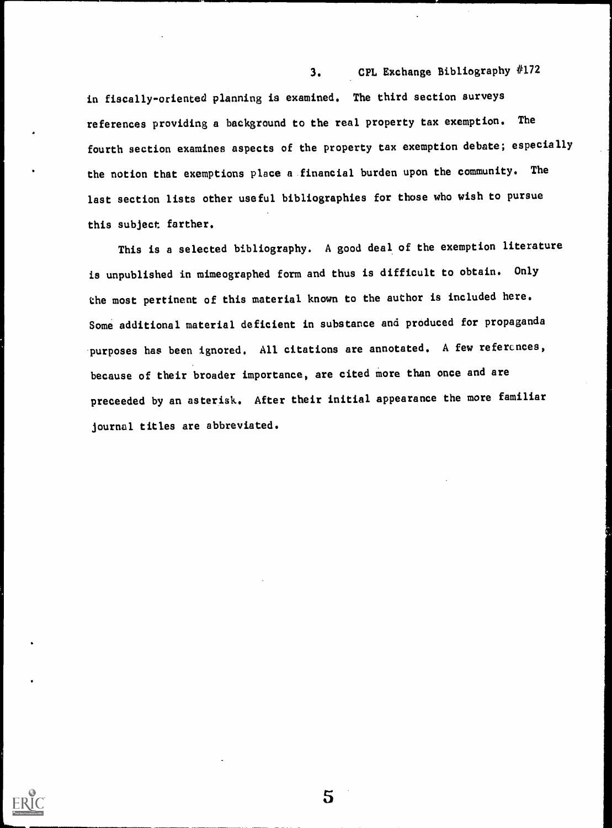in fiscally-oriented planning is examined. The third section surveys references providing a background to the real property tax exemption. The fourth section examines aspects of the property tax exemption debate; especially the notion that exemptions place a financial burden upon the community. The last section lists other useful bibliographies for those who wish to pursue this subject farther.

This is a selected bibliography. A good deal of the exemption literature is unpublished in mimeographed form and thus is difficult to obtain. Only the most pertinent of this material known to the author is included here. Some additional material deficient in substance and produced for propaganda purposes has been ignored. All citations are annotated. A few references, because of their broader importance, are cited more than once and are preceeded by an asterisk. After their initial appearance the more familiar journal titles are abbreviated.

5

3. CPL Exchange Bibliography #172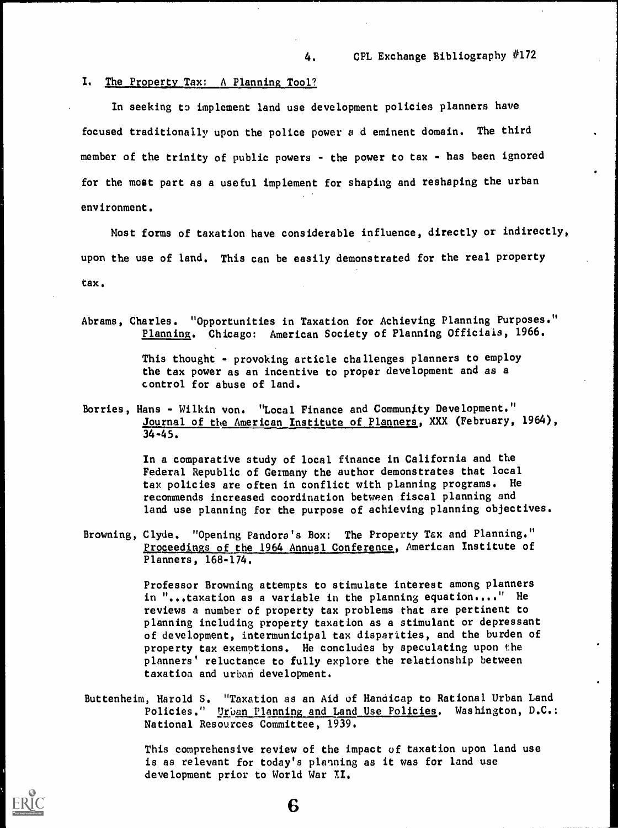#### I. The Property Tax: A Planning Tool?

In seeking to implement land use development policies planners have focused traditionally upon the police power a d eminent domain. The third member of the trinity of public powers - the power to tax - has been ignored for the most part as a useful implement for shaping and reshaping the urban environment.

Most forms of taxation have considerable influence, directly or indirectly, upon the use of land. This can be easily demonstrated for the real property tax.

Abrams, Charles. "Opportunities in Taxation for Achieving Planning Purposes." Planning. Chicago: American Society of Planning Officials, 1966.

> This thought - provoking article challenges planners to employ the tax power as an incentive to proper development and as a control for abuse of land.

Borries, Hans - Wilkin von. "Local Finance and Community Development." Journal of the American Institute of Planners, XXX (February, 1964), 34-45.

> In a comparative study of local finance in California and the Federal Republic of Germany the author demonstrates that local tax policies are often in conflict with planning programs. He recommends increased coordination between fiscal planning and land use planning for the purpose of achieving planning objectives.

Browning, Clyde. "Opening Pandora's Box: The Property Tax and Planning." Proceedings of the 1964 Annual Conference, American Institute of Planners, 168-174.

> Professor Browning attempts to stimulate interest among planners in "...taxation as a variable in the planning equation...." He reviews a number of property tax problems that are pertinent to planning including property taxation as a stimulant or depressant of development, intermunicipal tax disparities, and the burden of property tax exemptions. He concludes by speculating upon the planners' reluctance to fully explore the relationship between taxation and urban development.

Buttenheim, Harold S. "Taxation as an Aid of Handicap to Rational Urban Land Policies." Urban Planning and Land Use Policies. Washington, D.C.: National Resources Committee, 1939.

6

This comprehensive review of the impact of taxation upon land use is as relevant for today's planning as it was for land use development prior to World War XI.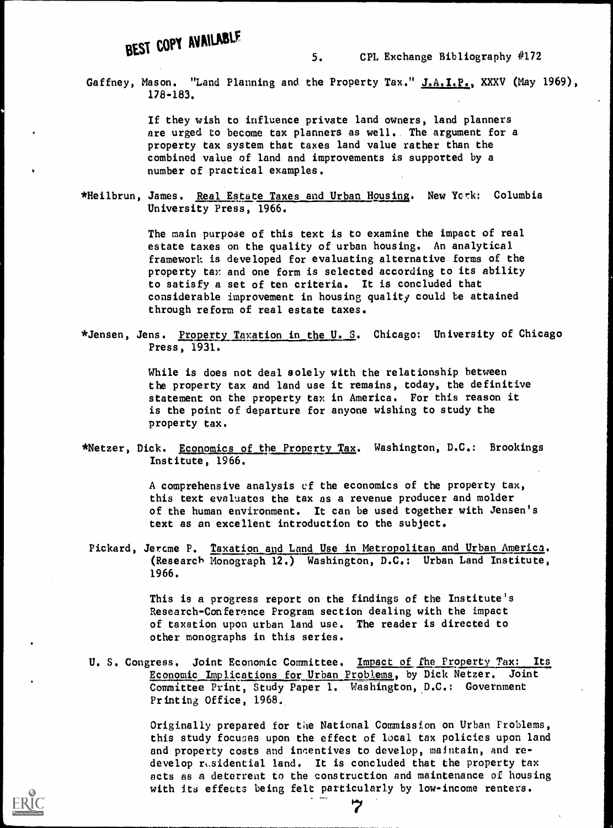## BEST COPY AVAILABLE

Gaffney, Mason. "Land Planning and the Property Tax." J.A.I.P., XXXV (May 1969), 178-183.

> If they wish to influence private land owners, land planners are urged to become tax planners as well.. The argument for a property tax system that taxes land value rather than the combined value of land and improvements is supported by a number of practical examples.

\*Heilbrun, James. Real Estate Taxes and Urban Housing. New York: Columbia University Press, 1966.

> The main purpose of this text is to examine the impact of real estate taxes on the quality of urban housing. An analytical framework is developed for evaluating alternative forms of the property tax and one form is selected according to its ability to satisfy a set of ten criteria. It is concluded that considerable improvement in housing quality could be attained through reform of real estate taxes.

\*Jensen, Jens. Property Taxation in the U. S. Chicago: University of Chicago Press, 1931.

> While is does not deal solely with the relationship between the property tax and land use it remains, today, the definitive statement on the property tax in America. For this reason it is the point of departure for anyone wishing to study the property tax.

\*Netzer, Dick. Economics of the Property Tax. Washington, D.C.: Brookings Institute, 1966.

> A comprehensive analysis of the economics of the property tax, this text evaluates the tax as a revenue producer and molder of the human environment. It can be used together with Jensen's text as an excellent introduction to the subject.

Pickard, Jercme P. Taxation and Land Use in Metropolitan and Urban America. (Research Monograph 12.) Washington, D.C.: Urban Land Institute, 1966.

> This is a progress report on the findings of the Institute's Research-Conference Program section dealing with the impact of taxation upon urban land use. The reader is directed to other monographs in this series.

U. S. Congress. Joint Economic Committee. Impact of the Property Tax: Its Economic Implications for Urban Problems, by Dick Netzer. Joint Committee Print, Study Paper 1. Washington, D.C.: Government Printing Office, 1968.

> Originally prepared for the National Commission on Urban Problems, this study focuses upon the effect of local tax policies upon land and property costs and incentives to develop, maintain, and redevelop  $r_t$ .sidential land. It is concluded that the property tax acts as a deterrent to the construction and maintenance of housing with its effects being felt particularly by low-income renters.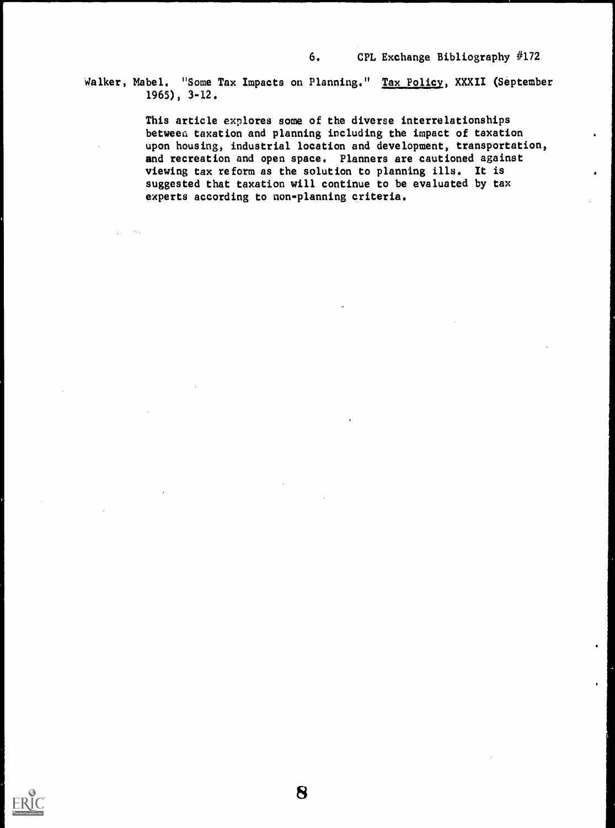Walker, Mabel. "Some Tax Impacts on Planning." Tax Policy, XXXII (September 1965), 3-12.

> This article explores some of the diverse interrelationships between taxation and planning including the impact of taxation upon housing, industrial location and development, transportation, and recreation and open space. Planners are cautioned against viewing tax reform as the solution to planning ills. It is suggested that taxation will continue to be evaluated by tax experts according to non-planning criteria.

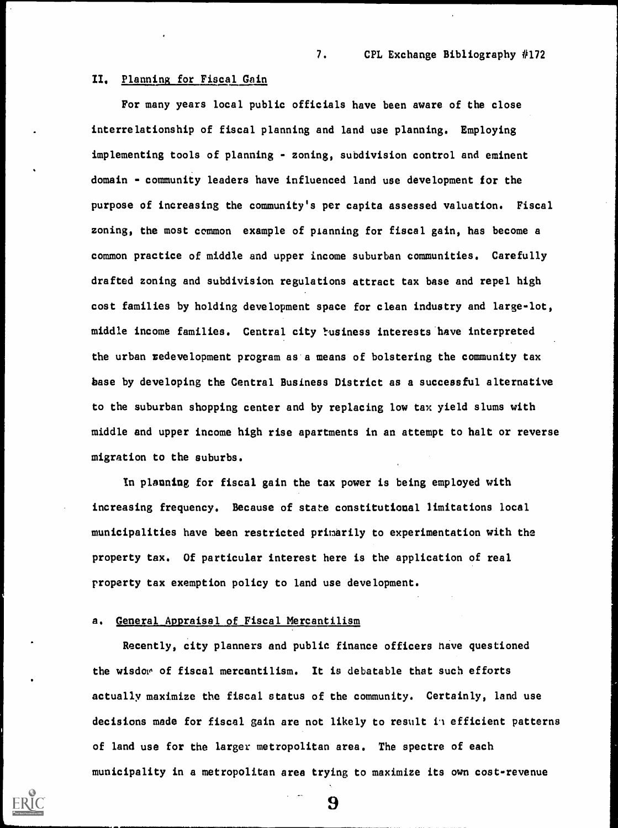#### II, Planning for Fiscal Gain

For many years local public officials have been aware of the close interrelationship of fiscal planning and land use planning. Employing implementing tools of planning - zoning, subdivision control and eminent domain - community leaders have influenced land use development for the purpose of increasing the community's per capita assessed valuation. Fiscal zoning, the most common example of pianning for fiscal gain, has become a common practice of middle and upper income suburban communities. Carefully drafted zoning and subdivision regulations attract tax base and repel high cost families by holding development space for clean industry and large-lot, middle income families. Central city business interests have interpreted the urban redevelopment program as a means of bolstering the community tax base by developing the Central Business District as a successful alternative to the suburban shopping center and by replacing low tax yield slums with middle and upper income high rise apartments in an attempt to halt or reverse migration to the suburbs.

In planning for fiscal gain the tax power is being employed with increasing frequency. Because of state constitutional limitations local municipalities have been restricted primarily to experimentation with the property tax. Of particular interest here is the application of real property tax exemption policy to land use development.

#### a. General Appraisal of Fiscal Mercantilism

Recently, city planners and public finance officers nave questioned the wisdov, of fiscal mercantilism. It is debatable that such efforts actually maximize the fiscal status of the community. Certainly, land use decisions made for fiscal gain are not likely to result in efficient patterns of land use for the larger metropolitan area. The spectre of each municipality in a metropolitan area trying to maximize its own cost-revenue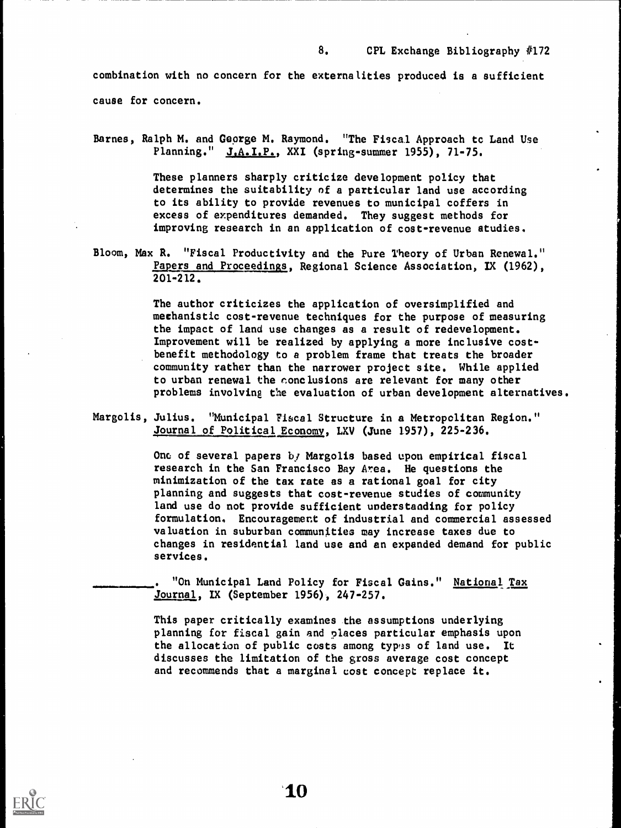combination with no concern for the externalities produced is a sufficient cause for concern.

Barnes, Ralph M. and George M. Raymond. "The Fiscal Approach tc Land Use Planning." J.A.I.P., XXI (spring-summer 1955), 71-75.

> These planners sharply criticize development policy that determines the suitability of a particular land use according to its ability to provide revenues to municipal coffers in excess of expenditures demanded. They suggest methods for improving research in an application of cost-revenue studies.

Bloom, Max R. "Fiscal Productivity and the Pure Theory of Urban Renewal." Papers and Proceedings, Regional Science Association, IX (1962), 201-212.

> The author criticizes the application of oversimplified and mechanistic cost-revenue techniques for the purpose of measuring the impact of land use changes as a result of redevelopment. Improvement will be realized by applying a more inclusive costbenefit methodology to a problem frame that treats the broader community rather than the narrower project site. While applied to urban renewal the conclusions are relevant for many other problems involving the evaluation of urban development alternatives.

Margolis, Julius. "Municipal Fiscal Structure in a Metropolitan Region." Journal of Political Economy, LXV (June 1957), 225-236.

> One of several papers by Margolis based upon empirical fiscal research in the San Francisco Bay Area. He questions the minimization of the tax rate as a rational goal for city planning and suggests that cost-revenue studies of community land use do not provide sufficient understanding for policy formulation. Encouragement of industrial and commercial assessed valuation in suburban communities may increase taxes due to changes in residential land use and an expanded demand for public services.

"On Municipal Land Policy for Fiscal Gains." National Tax Journal, IX (September 1956), 247-257.

This paper critically examines the assumptions underlying planning for fiscal gain and places particular emphasis upon the allocation of public costs among types of land use. It discusses the limitation of the gross average cost concept and recommends that a marginal cost concept replace it.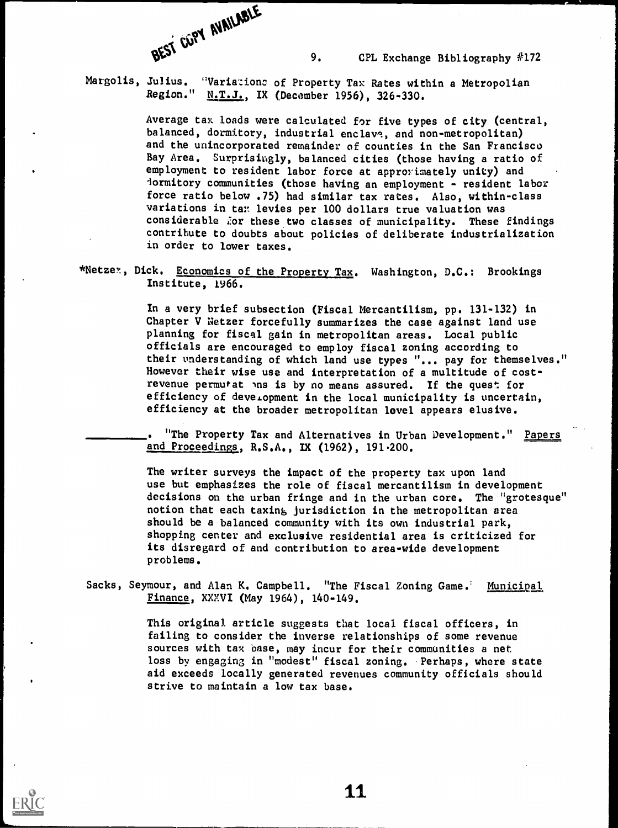

Margolis, Julius. "Variazionc of Property Tax Rates within a Metropolian Region." N.T.J., IX (December 1956), 326-330.

> Average tax loads were calculated for five types of city (central, balanced, dormitory, industrial enclave, and non-metropolitan) and the unincorporated remainder of counties in the San Francisco Bay Area. Surprisingly, balanced cities (those having a ratio of employment to resident labor force at approximately unity) and lormitory communities (those having an employment - resident labor force ratio below .75) had similar tax rates. Also, within-class variations in tar levies per 100 dollars true valuation was considerable for these two classes of municipality. These findings contribute to doubts about policies of deliberate industrialization in order to lower taxes.

\*Netzex, Dick. Economics of the Property Tax. Washington, D.C.: Brookings Institute, 1966.

> In a very brief subsection (Fiscal Mercantilism, pp. 131-132) in Chapter V Netzer forcefully summarizes the case against land use planning for fiscal gain in metropolitan areas. Local public officials are encouraged to employ fiscal zoning according to their understanding of which land use types "... pay for themselves." However their wise use and interpretation of a multitude of costrevenue permutat ins is by no means assured. If the quest for efficiency of development in the local municipality is uncertain, efficiency at the broader metropolitan level appears elusive.

"The Property Tax and Alternatives in Urban Development." Papers and Proceedings, R.S.A., IX (1962), 191.200.

The writer surveys the impact of the property tax upon land use but emphasizes the role of fiscal mercantilism in development decisions on the urban fringe and in the urban core. The "grotesque" notion that each taxing jurisdiction in the metropolitan area should be a balanced community with its own industrial park, shopping center and exclusive residential area is criticized for its disregard of and contribution to area-wide development problems.

Sacks, Seymour, and Alan K. Campbell. "The Fiscal Zoning Game. Municipal Finance, XXXVI (May 1964), 140-149.

> This original article suggests that local fiscal officers, in failing to consider the inverse relationships of some revenue sources with tax base, may incur for their communities a net loss by engaging in "modest" fiscal zoning. Perhaps, where state aid exceeds locally generated revenues community officials should strive to maintain a low tax base.

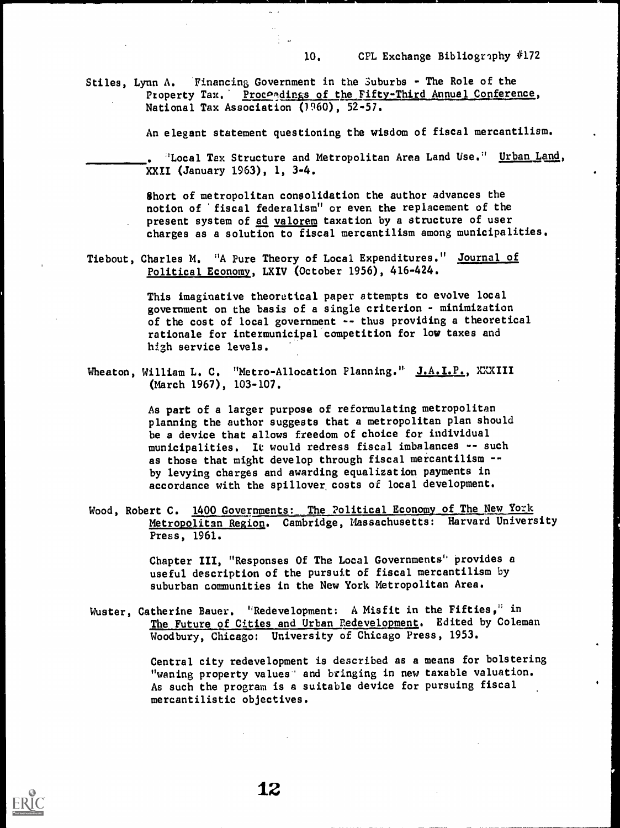Stiles, Lynn A. Financing Government in the Suburbs - The Role of the Property Tax. Proceedings of the Fifty-Third Annual Conference, National Tax Association (1960), 52-57.

 $\alpha \sim \epsilon$ 

An elegant statement questioning the wisdom of fiscal mercantilism.

'Local Tax Structure and Metropolitan Area Land Use.' Urban Land, XXII (January 1963), 1, 3-4.

Short of metropolitan consolidation the author advances the notion of 'fiscal federalism" or even the replacement of the present system of ad valorem taxation by a structure of user charges as a solution to fiscal mercantilism among municipalities.

Tiebout, Charles M. "A Pure Theory of Local Expenditures." Journal of Political Economy, LXIV (October 1956), 416-424.

> This imaginative theoretical paper attempts to evolve local government on the basis of a single criterion - minimization of the cost of local government -- thus providing a theoretical rationale for intermunicipal competition for low taxes and high service levels.

Wheaton, William L. C. "Metro-Allocation Planning." J.A.I.P., XXXIII (March 1967), 103-107.

> As part of a larger purpose of reformulating metropolitan planning the author suggests that a metropolitan plan should be a device that allows freedom of choice for individual municipalities. It would redress fiscal imbalances -- such as those that might develop through fiscal mercantilism -by levying charges and awarding equalization payments in accordance with the spillover, costs of local development.

Wood, Robert C. 1400 Governments: The Political Economy of The New York Metropolitan Region. Cambridge, Massachusetts: Harvard University Press, 1961.

> Chapter III, "Responses Of The Local Governments' provides a useful description of the pursuit of fiscal mercantilism by suburban communities in the New York Metropolitan Area.

Wuster, Catherine Bauer. "Redevelopment: A Misfit in the Fifties," in The Future of Cities and Urban Redevelopment. Edited by Coleman Woodbury, Chicago: University of Chicago Press, 1953.

> Central city redevelopment is described as a means for bolstering "waning property values' and bringing in new taxable valuation. As such the program is a suitable device for pursuing fiscal mercantilistic objectives.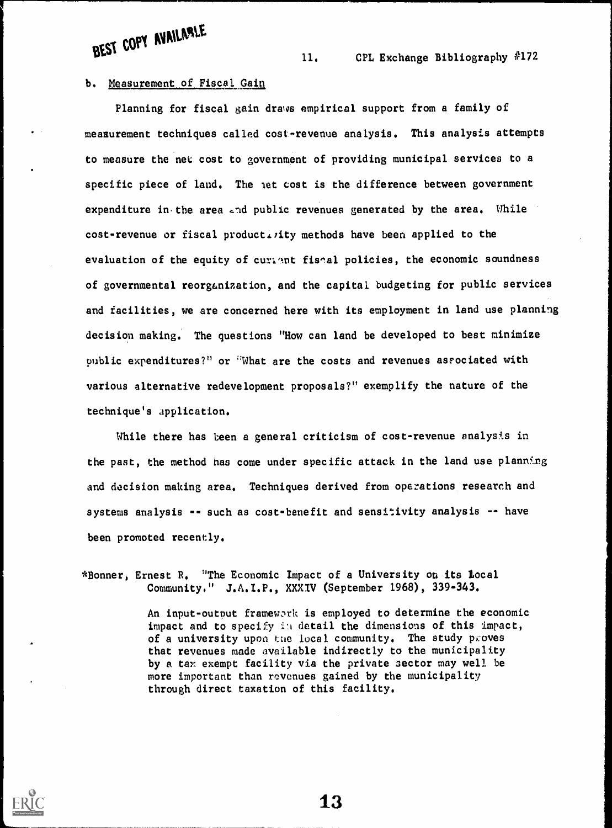BEST COPY AVAILABLE

11. CFL Exchange Bibliography #172

#### b. Measurement of Fiscal Gain

Planning for fiscal gain draws empirical support from a family of measurement techniques called cost-revenue analysis. This analysis attempts to measure the net; cost to government of providing municipal services to a specific piece of land. The net cost is the difference between government expenditure in the area and public revenues generated by the area. While cost-revenue or fiscal productivity methods have been applied to the evaluation of the equity of curient fiseal policies, the economic soundness of governmental reorganization, and the capital budgeting for public services and facilities, we are concerned here with its employment in land use planning decision making. The questions "How can land be developed to best minimize public expenditures?" or "What are the costs and revenues asfociated with various alternative redevelopment proposals?" exemplify the nature of the technique's application.

While there has been a general criticism of cost-revenue analysis in the past, the method has come under specific attack in the land use planning and decision making area. Techniques derived from operations research and systems analysis -- such as cost-benefit and sensitivity analysis -- have been promoted recently.

\*Bonner, Ernest R. "The Economic Impact of a University on its Local Community." J.A.I.P., XXXIV (September 1968), 339-343.

> An input-output framework is employed to determine the economic impact and to specify in detail the dimensions of this impact, of a university upon the local community. The study proves that revenues made available indirectly to the municipality by a tax exempt facility via the private sector may well be more important than revenues gained by the municipality through direct taxation of this facility.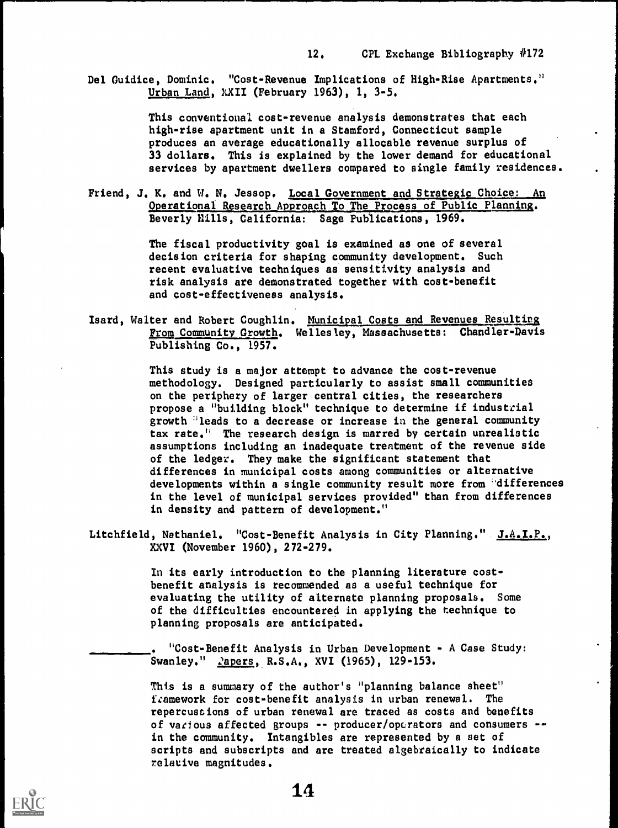Del Guidice, Dominic, "Cost-Revenue Implications of High-Rise Apartments," Urban Land, XXII (February 1963), 1, 3-5.

> This conventional cost-revenue analysis demonstrates that each high-rise apartment unit in a Stamford, Connecticut sample produces an average educationally allocable revenue surplus of 33 dollars. This is explained by the lower demand for educational services by apartment dwellers compared to single family residences.

Friend, J. K. and W. N. Jessop. Local Government and Strategic Choice: An Operational Research Approach To The Process of Public Planning. Beverly Hills, California: Sage Publications, 1969.

> The fiscal productivity goal is examined as one of several decision criteria for shaping community development. Such recent evaluative techniques as sensitivity analysis and risk analysis are demonstrated together with cost-benefit and cost-effectiveness analysis.

Isard, Walter and Robert Coughlin. Municipal Costs and Revenues Resulting From Community Growth. Wellesley, Massachusetts: Chandler-Davis Publishing Co., 1957.

> This study is a major attempt to advance the cost-revenue methodology. Designed particularly to assist small communities on the periphery of larger central cities, the researchers propose a "building block" technique to determine if industrial growth 'leads to a decrease or increase in the general community tax rate." The research design is marred by certain unrealistic assumptions including an inadequate treatment of the revenue side of the ledger. They make the significant statement that differences in municipal costs among communities or alternative developments within a single community result more from "differences in the level of municipal services provided" than from differences in density and pattern of development."

Litchfield, Nathaniel. "Cost-Benefit Analysis in City Planning." J.A.I.P., XXVI (November 1960), 272-279.

> In its early introduction to the planning literature costbenefit analysis is recommended as a useful technique for evaluating the utility of alternate planning proposals. Some of the difficulties encountered in applying the technique to planning proposals are anticipated.

. "Cost-Benefit Analysis in Urban Development - A Case Study: Swanley." *lapers*, R.S.A., XVI (1965), 129-153.

This is a summary of the author's "planning balance sheet" framework for cost-benefit analysis in urban renewal. The repercussions of urban renewal are traced as costs and benefits of various affected groups -- producer/operators and consumers -in the community. Intangibles are represented by a set of scripts and subscripts and are treated algebraically to indicate relative magnitudes.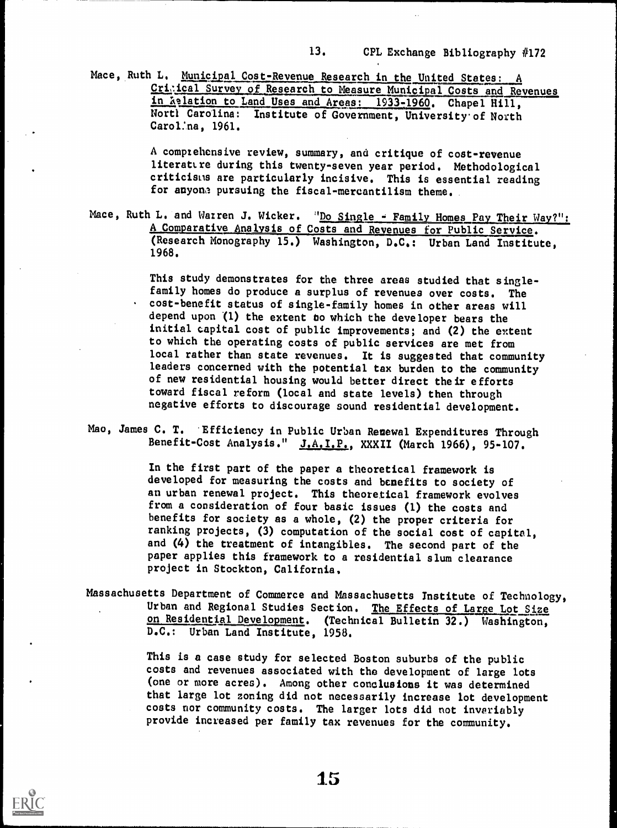Mace, Ruth L. Municipal Cost-Revenue Research in the United States: A Critical Survey of Research to Measure Municipal Costs and Revenues in Relation to Land Uses and Areas: 1933-1960. Chapel Hill, Norti Carolina: Institute of Government, University of North Carol:na, 1961.

> A complehensive review, summary, and critique of cost-revenue literattre during this twenty-seven year period. Methodological criticism are particularly incisive. This is essential reading for anyona pursuing the fiscal-mercantilism theme..

Mace, Ruth L. and Warren J. Wicker. "<u>Do Single - Family Homes Pay Their Way?":</u> A Comparative Analysis of Costs and Revenues for Public Service. (Kesearch Monography 15.) Washington, D.C.: Urban Land Institute, 1968.

> This study demonstrates for the three areas studied that singlefamily homes do produce a surplus of revenues over costs. The cost-benefit status of single-family homes in other areas will depend upon (1) the extent to which the developer bears the initial capital cost of public improvements; and (2) the extent to which the operating costs of public services are met from local rather than state revenues. It is suggested that community leaders concerned with the potential tax burden to the community of new residential housing would better direct their efforts toward fiscal reform (local and state levels) then through negative efforts to discourage sound residential development.

Mao, James C. T. Efficiency in Public Urban Renewal Expenditures Through Benefit-Cost Analysis." J.A.I.P., XXXII (March 1966), 95-107.

> In the first part of the paper a theoretical framework is developed for measuring the costs and benefits to society of an urban renewal project. This theoretical framework evolves from a consideration of four basic issues (1) the costs and benefits for society as a whole, (2) the proper criteria for ranking projects, (3) computation of the social cost of capital, and (4) the treatment of intangibles. The second part of the paper applies this framework to a residential slum clearance project in Stockton, California,

Massachusetts Department of Commerce and Massachusetts Institute of Technology, Urban and Regional Studies Section. The Effects of Large Lot Size on Residential Development. (Technical Bulletin 32.) Washington, D.C.: Urban Land Institute, 1958.

> This is a case study for selected Boston suburbs of the public costs and revenues associated with the development of large lots (one or more acres). Among other conclusions it was determined that large lot zoning did not necessarily increase lot development costs nor community costs. The larger lots did not invariably provide increased per family tax revenues for the community.

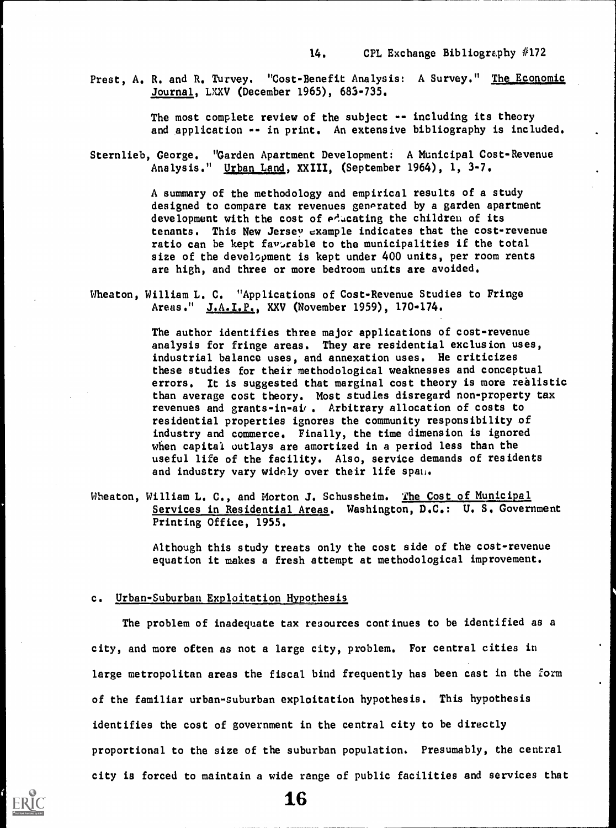Prest, A. R. and R. Turvey. "Cost-Benefit Analysis: A Survey." The Economic Journal, LXXV (December 1965), 683-735.

> The most complete review of the subject -- including its theory and application -- in print. An extensive bibliography is included.

Sternlieb, George. "Garden Apartment Development: A Municipal Cost-Revenue Analysis." Urban Land, XXIII, (September 1964), 1, 3-7.

> A summary of the methodology and empirical results of a study designed to compare tax revenues generated by a garden apartment development with the cost of educating the children of its tenants. This New Jersey example indicates that the cost-revenue ratio can be kept favorable to the municipalities if the total size of the development is kept under 400 units, per room rents are high, and three or more bedroom units are avoided.

Wheaton, William L. C. "Applications of Cost-Revenue Studies to Fringe Areas." J.A.I.P., XXV (November 1959), 170-174.

> The author identifies three major applications of cost-revenue analysis for fringe areas. They are residential exclusion uses, industrial balance uses, and annexation uses. He criticizes these studies for their methodological weaknesses and conceptual errors. It is suggested that marginal cost theory is more realistic than average cost theory. Most studies disregard non-property tax revenues and grants-in-ai . Arbitrary allocation of costs to residential properties ignores the community responsibility of industry and commerce. Finally, the time dimension is ignored when capital outlays are amortized in a period less than the useful life of the facility. Also, service demands of residents and industry vary widely over their life span.

Wheaton, William L. C., and Morton J. Schussheim. The Cost of Municipal Services in Residential Areas. Washington, D.C.: U. S. Government Printing Office, 1955.

> Although this study treats only the cost side of the cost-revenue equation it makes a fresh attempt at methodological improvement.

#### c. Urban-Suburban Exploitation Hypothesis

The problem of inadequate tax resources continues to be identified as a city, and more often as not a large city, problem. For central cities in large metropolitan areas the fiscal bind frequently has been cast in the form of the familiar urban-suburban exploitation hypothesis. This hypothesis identifies the cost of government in the central city to be directly proportional to the size of the suburban population. Presumably, the central city is forced to maintain a wide range of public facilities and services that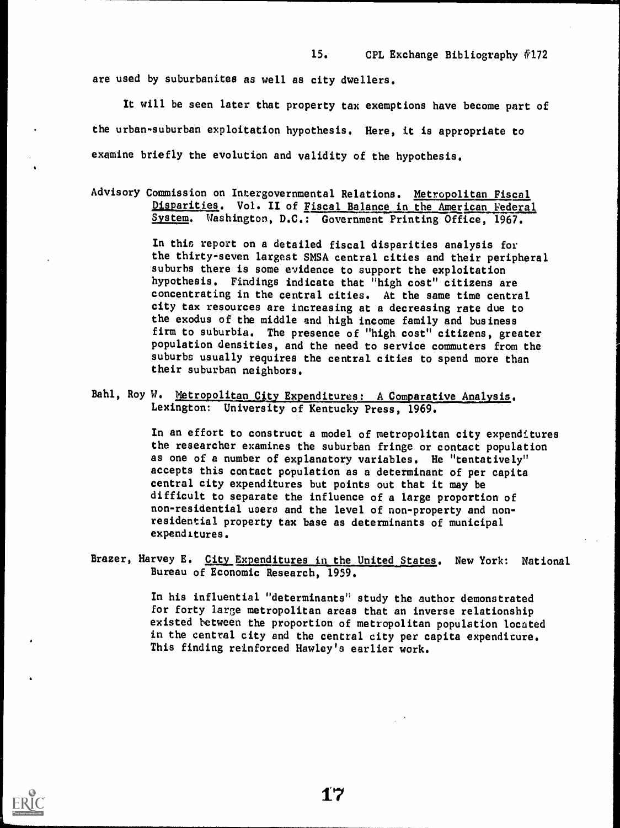are used by suburbanites as well as city dwellers.

It will be seen later that property tax exemptions have become part of the urban-suburban exploitation hypothesis. Here, it is appropriate to examine briefly the evolution and validity of the hypothesis.

Advisory Commission on Intergovernmental Relations. Metropolitan Fiscal Disparities. Vol. II of Fiscal Balance in the American Federal System. Washington, D.C.: Government Printing Office, 1967. Washington, D.C.: Government Printing Office, 1967.

> In this report on a detailed fiscal disparities analysis for the thirty-seven largest SMSA central cities and their peripheral suburbs there is some evidence to support the exploitation hypothesis. Findings indicate that "high cost" citizens are concentrating in the central cities. At the same time central city tax resources are increasing at a decreasing rate due to the exodus of the middle and high income family and business firm to suburbia. The presence of "high cost" citizens, greater population densities, and the need to service commuters from the suburbs usually requires the central cities to spend more than their suburban neighbors.

Bahl, Roy W. Metropolitan City Expenditures: A Comparative Analysis. Lexington: University of Kentucky Press, 1969.

> In an effort to construct a model of metropolitan city expenditures the researcher examines the suburban fringe or contact population as one of a number of explanatory variables. He "tentatively" accepts this contact population as a determinant of per capita central city expenditures but points out that it may be difficult to separate the influence of a large proportion of non-residential users and the level of non-property and nonresidential property tax base as determinants of municipal expenditures.

Brazer, Harvey E. City Expenditures in the United States. New York: National Bureau of Economic Research, 1959.

> In his influential "determinants" study the author demonstrated for forty large metropolitan areas that an inverse relationship existed between the proportion of metropolitan population located in the central city and the central city per capita expenditure. This finding reinforced Hawley's earlier work.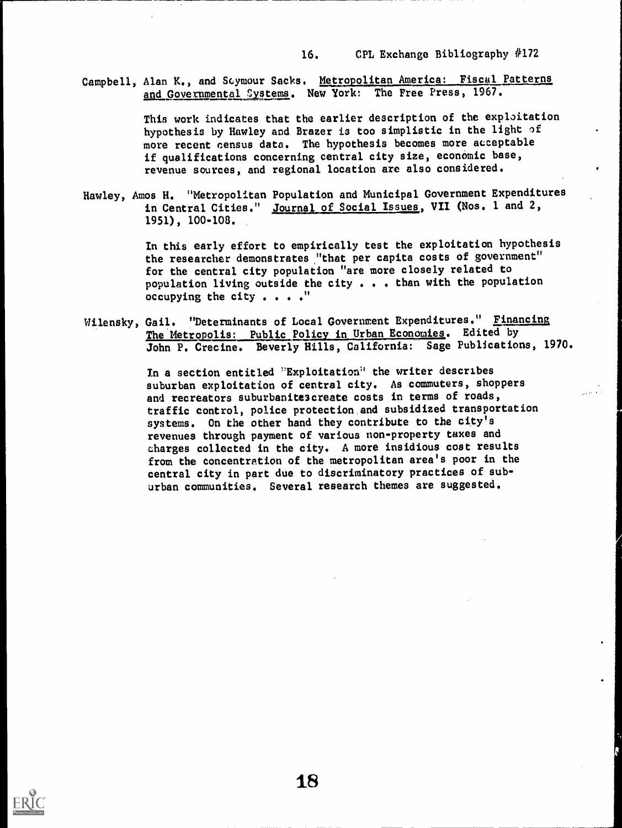Campbell, Alan K., and Scymour Sacks. Metropolitan America: Fiscal Patterns and Governmental Systems. New York: The Free Press, 1967.

> This work indicates that the earlier description of the exploitation hypothesis by Hawley and Brazer is too simplistic in the light of more recent census data. The hypothesis becomes more acceptable if qualifications concerning central city size, economic base, revenue sources, and regional location axe also considered.

Hawley, Amos H. "Metropolitan Population and Municipal Government Expenditures in Central Cities." Journal of Social Issues, VII (Nos. 1 and 2, 1951), 100-108.

> In this early effort to empirically test the exploitation hypothesis the researcher demonstrates "that per capita costs of government" for the central city population "are more closely related to population living outside the city . . . than with the population occupying the city . . . . "

Wilensky, Gail. "Determinants of Local Government Expenditures." Financing The Metropolis: Public Policy in Urban Economies. Edited by John P. Crecine. Beverly Hills, California: Sage Publications, 1970.

> In a section entitled "Exploitation" the writer describes suburban exploitation of central city. As commuters, shoppers and recreators suburbanite3create costs in terms of roads, traffic control, police protection and subsidized transportation systems. On the other hand they contribute to the city's revenues through payment of various non-property taxes and charges collected in the city. A more insidious cost results from the concentration of the metropolitan area's poor in the central city in part due to discriminatory practices of suburban communities. Several research themes are suggested.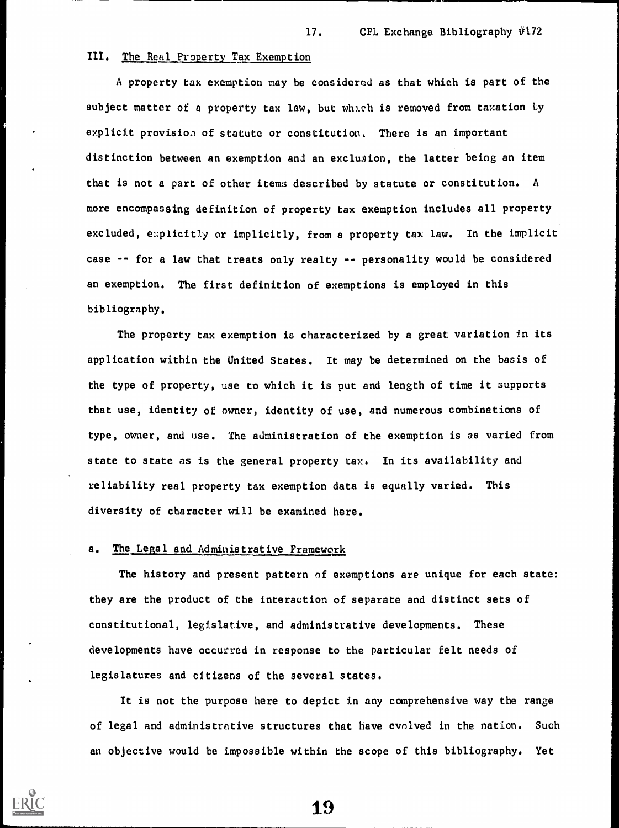#### III. The Real Property Tax Exemption

A property tax exemption may be considered as that which is part of the subject matter of a property tax law, but which is removed from taxation by explicit provision of statute or constitution. There is an important distinction between an exemption and an exclusion, the latter being an item that is not a part of other items described by statute or constitution. A more encompassing definition of property tax exemption includes all property excluded, explicitly or implicitly, from a property tax law. In the implicit case -- for a law that treats only realty -- personality would be considered an exemption. The first definition of exemptions is employed in this bibliography.

The property tax exemption is characterized by a great variation in its application within the United States. It may be determined on the basis of the type of property, use to which it is put and length of time it supports that use, identity of owner, identity of use, and numerous combinations of type, owner, and use. The administration of the exemption is as varied from state to state as is the general property tax. In its availability and reliability real property tax exemption data is equally varied. This diversity of character will be examined here.

#### a. The Legal and Administrative Framework

The history and present pattern of exemptions are unique for each state: they are the product of the interaction of separate and distinct sets of constitutional, legislative, and administrative developments. These developments have occurred in response to the particular felt needs of legislatures and citizens of the several states.

It is not the purpose here to depict in any comprehensive way the range of legal and administrative structures that have evolved in the nation. Such an objective would be impossible within the scope of this bibliography. Yet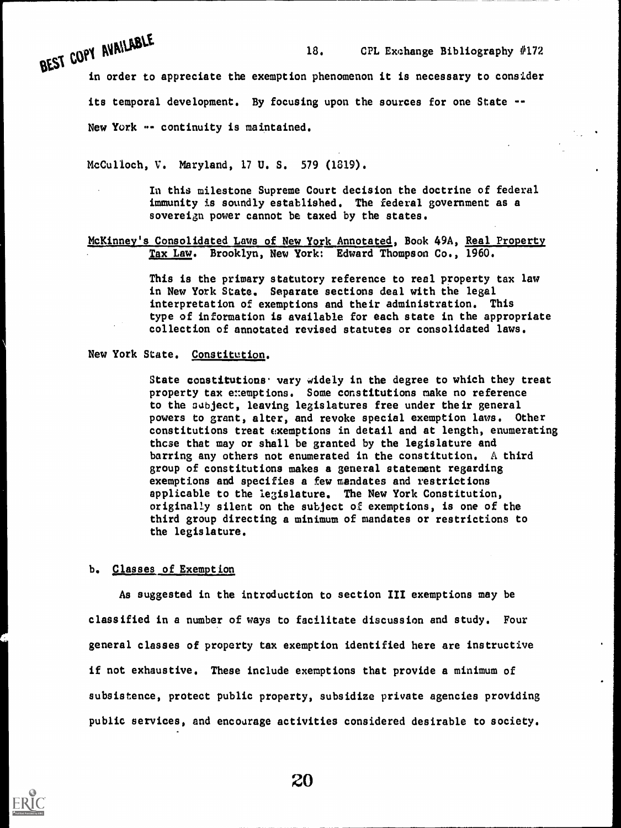BEST COPY AVAILANCE

in order to appreciate the exemption phenomenon it is necessary to consider its temporal development. By focusing upon the sources for one State -- New York -- continuity is maintained.

McCulloch, V. Maryland, 17 U. S. 579 (1819).

In this milestone Supreme Court decision the doctrine of federal immunity is soundly established. The federal government as a sovereign power cannot be taxed by the states.

McKinney's Consolidated Laws of New York Annotated, Book 49A, Real Property Tax Law. Brooklyn, New York: Edward Thompson Co., 1960.

> This is the primary statutory reference to real property tax law in New York State. Separate sections deal with the legal interpretation of exemptions and their administration. This type of information is available for each state in the appropriate collection of annotated revised statutes or consolidated laws.

New York State. Constitution.

State constitutions vary widely in the degree to which they treat property tax exemptions. Some constitutions make no reference to the subject, leaving legislatures free under their general powers to grant, alter, and revoke special exemption laws. Other constitutions treat cxemptions in detail and at length, enumerating thcse that may or shall be granted by the legislature and barring any others not enumerated in the constitution. A third group of constitutions makes a general statement regarding exemptions and specifies a few mandates and restrictions applicable to the legislature. The New York Constitution, originally silent on the subject of exemptions, is one of the third group directing a minimum of mandates or restrictions to the legislature.

b. Classes of Exemption

As suggested in the introduction to section III exemptions may be classified in a number of ways to facilitate discussion and study. Four general classes of property tax exemption identified here are instructive if not exhaustive. These include exemptions that provide a minimum of subsistence, protect public property, subsidize private agencies providing public services, and encourage activities considered desirable to society.

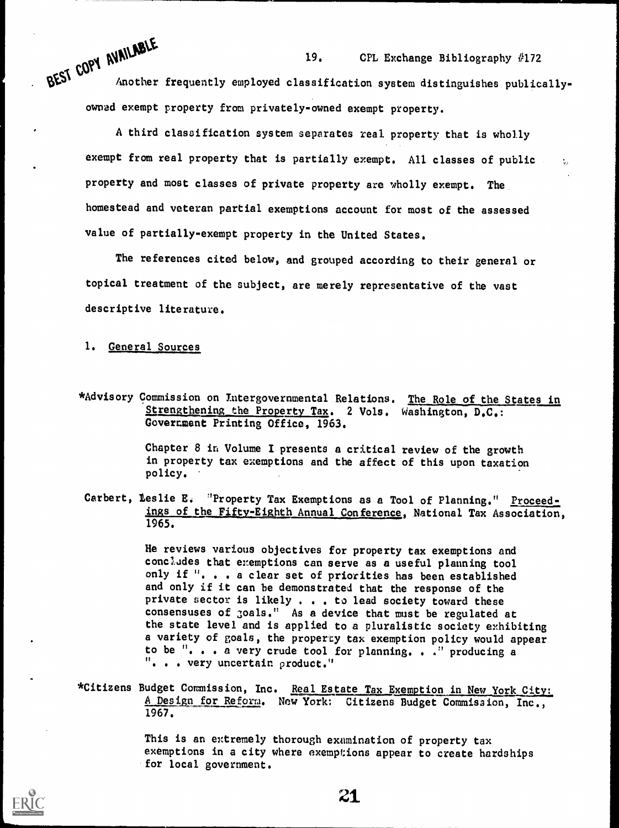$11$  MD<sub>L</sub> 19. CPL Exchange Bibliography #172 Another frequently employed classification system distinguishes publicallyowned exempt property from privately-owned exempt property.

A third classification system separates real property that is wholly exempt from real property that is partially exempt. All classes of public  $\Box$ property and most classes of private property are wholly exempt. The. homestead and veteran partial exemptions account for most of the assessed value of partially-exempt property in the United States.

The references cited below, and grouped according to their general or topical treatment of the subject, are merely representative of the vast descriptive literature.

1. General Sources

\*Advisory Commission on Intergovernmental Relations. The Role of the States in Strengthening the Property Tax. 2 Vols. Washington, D.C.: Goverment Printing Office, 1963.

> Chapter 8 in Volume I presents a critical review of the growth in property tax exemptions and the affect of this upon taxation policy.

Carbert, Leslie E. "Property Tax Exemptions as a Tool of Planning." Proceedings of the Fifty-Eighth Annual Conference, National Tax Association, 1965.

> He reviews various objectives for property tax exemptions and concludes that exemptions can serve as a useful planning tool only if ". . . a clear set of priorities has been established and only if it can be demonstrated that the response of the private sector is likely . . . to lead society toward these consensuses of 3oa1s." As a device that must be regulated at the state level and is applied to a pluralistic society exhibiting a variety of goals, the property tax exemption policy would appear to be ". . a very crude tool for planning. . ." producing a . . . very uncertain product."

\*Citizens Budget Commission, Inc. Real Estate Tax Exemption in New York City: A Design for Reform. New York: Citizens Budget Commission, Inc., 1967.

> This is an extremely thorough examination of property tax exemptions in a city where exemptions appear to create hardships for local government.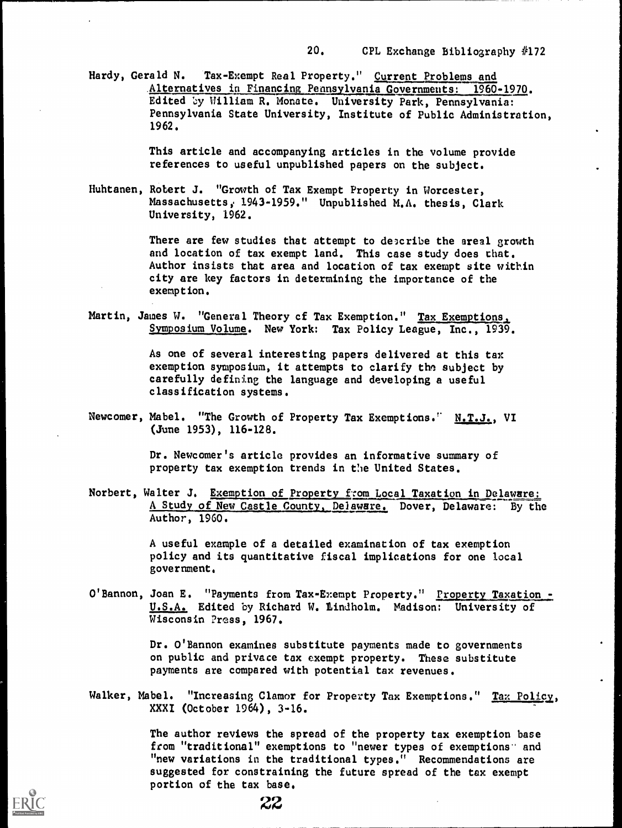Hardy, Gerald N. Tax-Exempt Real Property." Current Problems and Alternatives in Financing Pennsylvania Governments: 1960-1970. Edited by William R. Monate. University Park, Pennsylvania: Pennsylvania State University, Institute of Public Administration, 1962.

> This article and accompanying articles in the volume provide references to useful unpublished papers on the subject.

Huhtanen, Robert J. "Growth of Tax Exempt Property in Worcester, Massachusetts, 1943-1959." Unpublished M.A. thesis, Clark University, 1962.

> There are few studies that attempt to describe the areal growth and location of tax exempt land. This case study does chat. Author insists that area and location of tax exempt site within city are key factors in determining the importance of the exemption.

Martin, James W. "General Theory of Tax Exemption." Tax Exemptions. Symposium Volume. New York: Tax Policy League, Inc., 1939.

> As one of several interesting papers delivered at this tax exemption symposium, it attempts to clarify the subject by carefully defining the language and developing a useful classification systems.

Newcomer, Mabel. "The Growth of Property Tax Exemptions." N.T.J., VI (June 1953), 116-128.

> Dr. Newcomer's article provides an informative summary of property tax exemption trends in the United States.

Norbert, Walter J. Exemption of Property from Local Taxation in Delaware: A Study of New Castle County, Delaware. Dover, Delaware: By the Author, 1960.

> A useful example of a detailed examination of tax exemption policy and its quantitative fiscal implications for one local government.

O'Bannon, Joan E. "Payments from Tax-Exempt Property." Property Taxation -U.S.A. Edited by Richard W. Lindholm. Madison: University of Wisconsin Press, 1967.

> Dr. O'Bannon examines substitute payments made to governments on public and privace tax exempt property. These substitute payments are compared with potential tax revenues.

Walker, Mabel. "Increasing Clamor for Property Tax Exemptions." Tax Policy, XXXI (October 1964), 3-16.

> The author reviews the spread of the property tax exemption base from "traditional" exemptions to "newer types of exemptions" and "new variations in the traditional types." Recommendations are suggested for constraining the future spread of the tax exempt portion of the tax base.

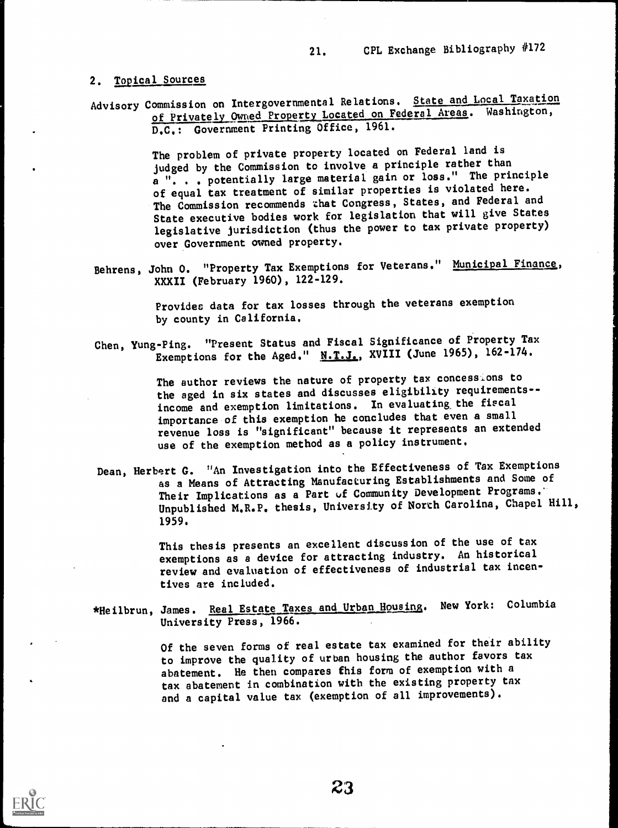#### 2. Topical Sources

Advisory Commission on Intergovernmental Relations. State and Local Taxation of Privately Owned Property Located on Federal Areas. Washington, D.C.: Government Printing Office, 1961.

> The problem of private property located on Federal land is judged by the Commission to involve a principle rather than a ". . . potentially large material gain or loss." The principle of equal tax treatment of similar properties is violated here. The Commission recommends chat Congress, States, and Federal and State executive bodies work for legislation that will give States legislative jurisdiction (thus the power to tax private property) over Government owned property.

Behrens, John O. "Property Tax Exemptions for Veterans." Municipal Finance, XXXII (February 1960), 122-129.

> Provides data for tax losses through the veterans exemption by county in California.

Chen, Yung-Ping. "Present Status and Fiscal Significance of Property Tax Exemptions for the Aged."  $N.T.J.$ , XVIII (June 1965), 162-174.

> The author reviews the nature of property tax concessions to the aged in six states and discusses eligibility requirements-income and exemption limitations. In evaluating the fiscal importance of this exemption he concludes that even a small revenue loss is "significant" because it represents an extended use of the exemption method as a policy instrument.

Dean, Herbert G. "An Investigation into the Effectiveness of Tax Exemptions as a Means of Attracting Manufacturing Establishments and Some of Their Implications as a Part of Community Development Programs. Unpublished M.R.P. thesis, University of North Carolina, Chapel Hill, 1959.

> This thesis presents an excellent discussion of the use of tax exemptions as a device for attracting industry. An historical review and evaluation of effectiveness of industrial tax incentives are included.

\*Heilbrun, James. Real Estate Taxes and Urban Housing. New York: Columbia University Press, 1966.

> Of the seven forms of real estate tax examined for their ability to improve the quality of urban housing the author favors tax abatement. He then compares this form of exemption with a tax abatement in combination with the existing property tax and a capital value tax (exemption of all improvements).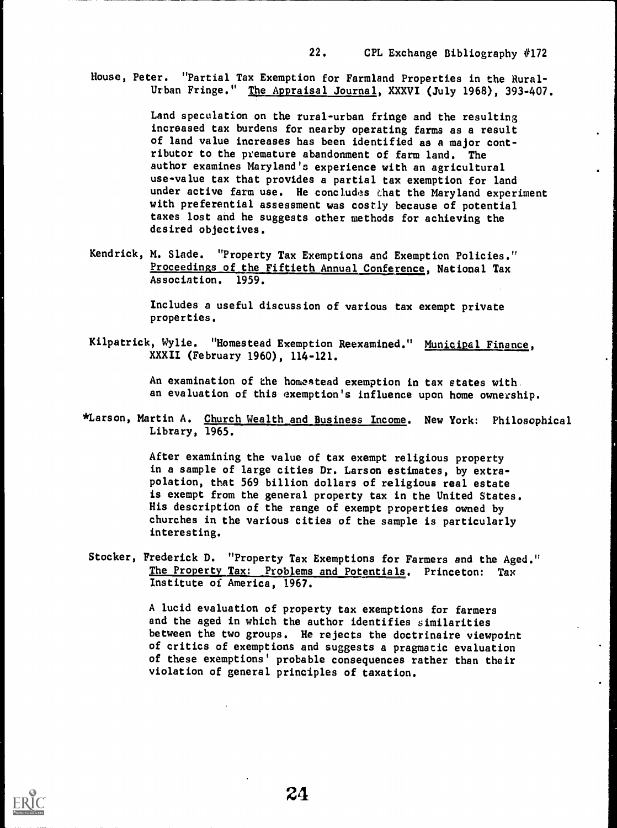House, Peter. "Partial Tax Exemption for Farmland Properties in the Rural-Urban Fringe." The Appraisal Journal, XXXVI (July 1968), 393-407.

> Land speculation on the rural-urban fringe and the resulting increased tax burdens for nearby operating farms as a result of land value increases has been identified as a major contributor to the premature abandonment of farm land. The author examines Maryland's experience with an agricultural use-value tax that provides a partial tax exemption for land under active farm use. He concludes that the Maryland experiment with preferential assessment was costly because of potential taxes lost and he suggests other methods for achieving the desired objectives.

Kendrick, M. Slade. "Property Tax Exemptions and Exemption Policies." Proceedings of the Fiftieth Annual Conference, National Tax Association. 1959.

> Includes a useful discussion of various tax exempt private properties.

Kilpatrick, Wylie. "Homestead Exemption Reexamined." Municipal Finance, XXXII (February 1960), 114-121.

> An examination of the homestead exemption in tax states with. an evaluation of this exemption's influence upon home ownership.

\*Larson, Martin A. Church Wealth and Business Income. New York: Philosophical Library, 1965.

> After examining the value of tax exempt religious property in a sample of large cities Dr. Larson estimates, by extrapolation, that 569 billion dollars of religious real estate is exempt from the general property tax in the United States. His description of the range of exempt properties owned by churches in the various cities of the sample is particularly interesting.

Stocker, Frederick D. "Property Tax Exemptions for Farmers and the Aged." The Property Tax: Problems and Potentials. Princeton: Tax Institute of America, 1967.

> A lucid evaluation of property tax exemptions for farmers and the aged in which the author identifies similarities between the two groups. He rejects the doctrinaire viewpoint of critics of exemptions and suggests a pragmatic evaluation of these exemptions' probable consequences rather than their violation of general principles of taxation.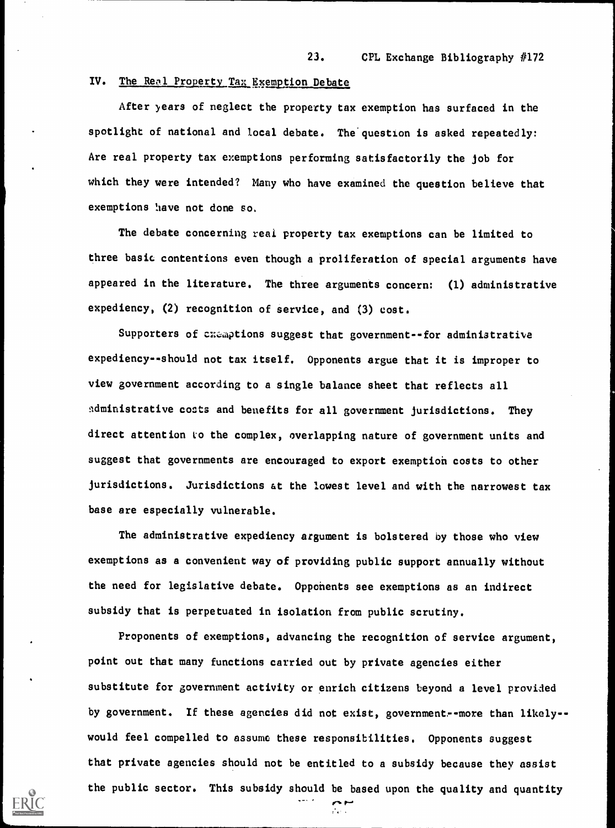#### IV. The Real Property Tax Exemption Debate

After years of neglect the property tax exemption has surfaced in the spotlight of national and local debate. The question is asked repeatedly: Are real property tax exemptions performing satisfactorily the job for which they were intended? Many who have examined the question believe that exemptions have not done so.

The debate concerning real property tax exemptions can be limited to three basic contentions even though a proliferation of special arguments have appeared in the literature. The three arguments concern: (1) administrative expediency, (2) recognition of service, and (3) cost.

Supporters of cxemptions suggest that government--for administrative expediency--should not tax itself. Opponents argue that it is improper to view government according to a single balance sheet that reflects all ndministrative costs and benefits for all government jurisdictions. They direct attention to the complex, overlapping nature of government units and suggest that governments are encouraged to export exemptioh costs to other jurisdictions. Jurisdictions at the lowest level and with the narrowest tax base are especially vulnerable.

The administrative expediency argument is bolstered by those who view exemptions as a convenient way of providing public support annually without the need for legislative debate. Oppohents see exemptions as an indirect subsidy that is perpetuated in isolation from public scrutiny.

Proponents of exemptions, advancing the recognition of service argument, point out that many functions carried out by private agencies either substitute for government activity or enrich citizens beyond a level provided by government. If these agencies did not exist, government--more than likely-would feel compelled to assume these responsibilities. Opponents suggest that private agencies should not be entitled to a subsidy because they assist the public sector. This subsidy should be based upon the quality and quantity

r-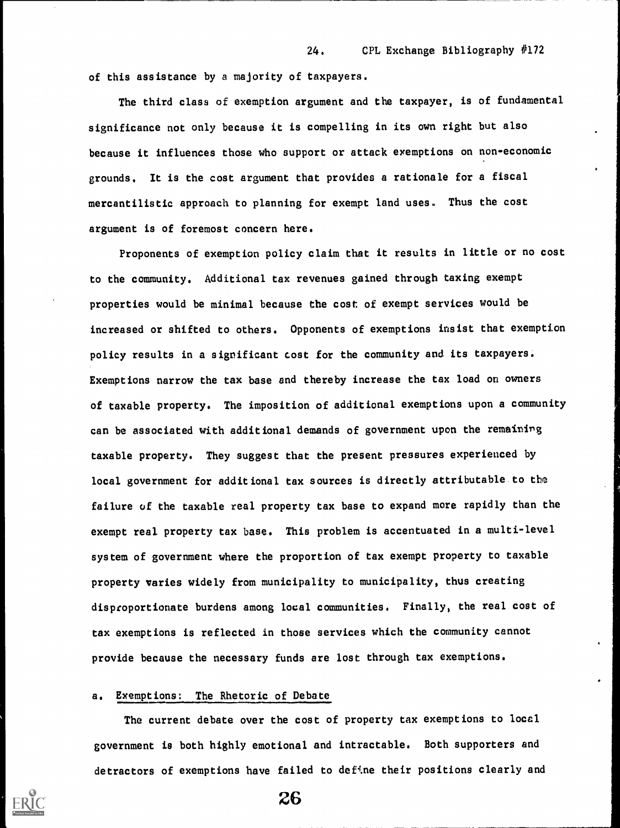of this assistance by a majority of taxpayers.

The third class of exemption argument and the taxpayer, is of fundamental significance not only because it is compelling in its own right but also because it influences those who support or attack exemptions on non-economic grounds. It is the cost argument that provides a rationale for a fiscal mercantilistic approach to planning for exempt land uses. Thus the cost argument is of foremost concern here.

Proponents of exemption policy claim that it results in little or no cost to the community. Additional tax revenues gained through taxing exempt properties would be minimal because the cost of exempt services would be increased or shifted to others. Opponents of exemptions insist that exemption policy results in a significant cost for the community and its taxpayers. Exemptions narrow the tax base and thereby increase the tax load on owners of taxable property. The imposition of additional exemptions upon a community can be associated with additional demands of government upon the remaining taxable property. They suggest that the present pressures experienced by local government for additional tax sources is directly attributable to the failure of the taxable real property tax base to expand more rapidly than the exempt real property tax base. This problem is accentuated in a multi-level system of government where the proportion of tax exempt property to taxable property varies widely from municipality to municipality, thus creating disproportionate burdens among local communities. Finally, the real cost of tax exemptions is reflected in those services which the community cannot provide because the necessary funds are lost through tax exemptions.

#### a. Exemptions: The Rhetoric of Debate

The current debate over the cost of property tax exemptions to local government is both highly emotional and intractable. Both supporters and detractors of exemptions have failed to define their positions clearly and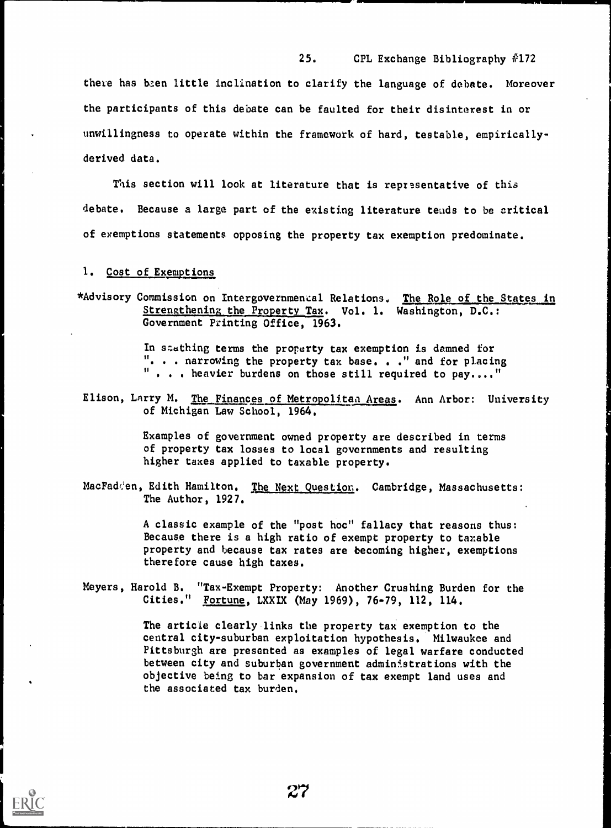there has been little inclination to clarify the language of debate. Moreover the participants of this debate can be faulted for their disinterest in or unwillingness to operate within the framework of hard, testable, empiricallyderived data.

25. CPL Exchange Bibliography #172

This section will look at literature that is representative of this debate. Because a large part of the existing literature tends to be critical of exemptions statements opposing the property tax exemption predominate.

1. Cost of Exemptions,

\*Advisory Commission on Intergovernmemeal Relations. The Role of the States in Strengthening the Property Tax. Vol. 1. Washington, D.C.: Government Printing Office, 1963.

> In stathing terms the property tax exemption is damned for ". . . narrowing the property tax base. . ." and for placing  $"$  . . heavier burdens on those still required to pay...."

Elison, Larry M. The Finances of Metropolitan Areas. Ann Arbor: University of Michigan Law School, 1964.

> Examples of government owned property are described in terms of property tax losses to local governments and resulting higher taxes applied to taxable property.

MacFadden, Edith Hamilton. The Next Question. Cambridge, Massachusetts: The Author, 1927.

> A classic example of the "post hoc" fallacy that reasons thus: Because there is a high ratio of exempt property to taxable property and because tax rates are becoming higher, exemptions therefore cause high taxes.

Meyers, Harold B. "Tax-Exempt Property: Another Crushing Burden for the Cities." Fortune, LXXIX (May 1969), 76-79, 112, 114.

> The article clearly links the property tax exemption to the central city-suburban exploitation hypothesis. Milwaukee and Pittsburgh are presented as examples of legal warfare conducted between city and suburban government administrations with the objective being to bar expansion of tax exempt land uses and the associated tax burden.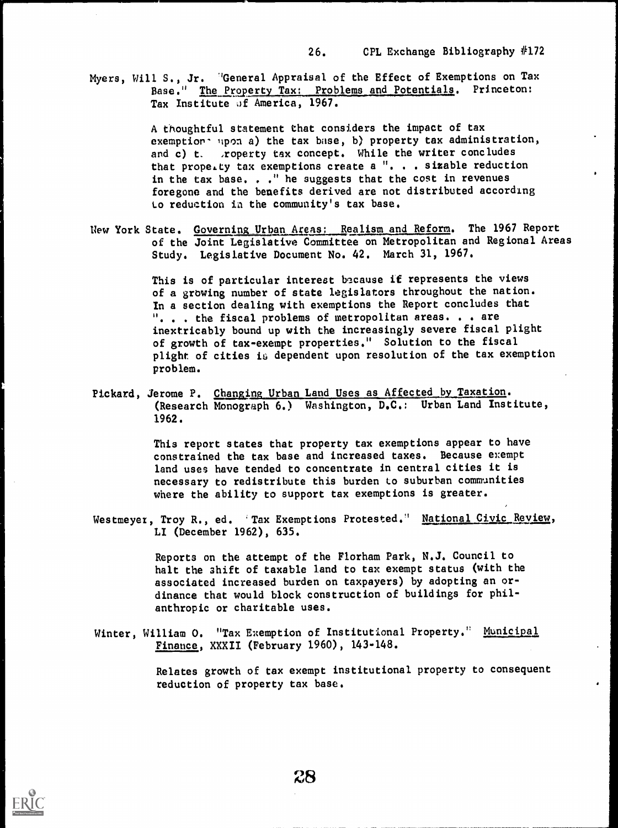Myers, Will S., Jr. "General Appraisal of the Effect of Exemptions on Tax Base." The Property Tax: Problems and Potentials. Princeton: Tax Institute of America, 1967.

> A thoughtful statement that considers the impact of tax exemption- upon a) the tax base, b) property tax administration, and c) t. . roperty tax concept. While the writer concludes that propelty tax exemptions create a ". . . sizable reduction in the tax base. . . " he suggests that the cost in revenues foregone and the benefits derived are not distributed according to reduction in the community's tax base.

New York State. Governing Urban Areas: Realism and Reform. The 1967 Report of the Joint Legislative Committee on Metropolitan and Regional Areas Study. Legislative Document No. 42. March 31, 1967.

> This is of particular interest because if represents the views of a growing number of state legislators throughout the nation. In a section dealing with exemptions the Report concludes that . . the fiscal problems of metropolitan areas. . . are inextricably bound up with the increasingly severe fiscal plight of growth of tax-exempt properties." Solution to the fiscal plight of cities is dependent upon resolution of the tax exemption problem.

Pickard, Jerome P. Changing Urban Land Uses as Affected by Taxation. (Research Monograph 6.) Washington, D.C.: Urban Land Institute, 1962.

> This report states that property tax exemptions appear to have constrained the tax base and increased taxes. Because exempt land uses have tended to concentrate in central cities it is necessary to redistribute this burden to suburban communities where the ability to support tax exemptions is greater.

Westmeyez, Troy R., ed. 'Tax Exemptions Protested." National Civic Review, LI (December 1962), 635.

> Reports on the attempt of the Florham Park, N.J. Council to halt the shift of taxable land to tax exempt status (with the associated increased burden on taxpayers) by adopting an ordinance that would block construction of buildings for philanthropic or charitable uses.

Winter, William 0. "Tax Exemption of Institutional Property." Municipal Finance, XXXII (February 1960), 143-148.

> Relates growth of tax exempt institutional property to consequent reduction of property tax base.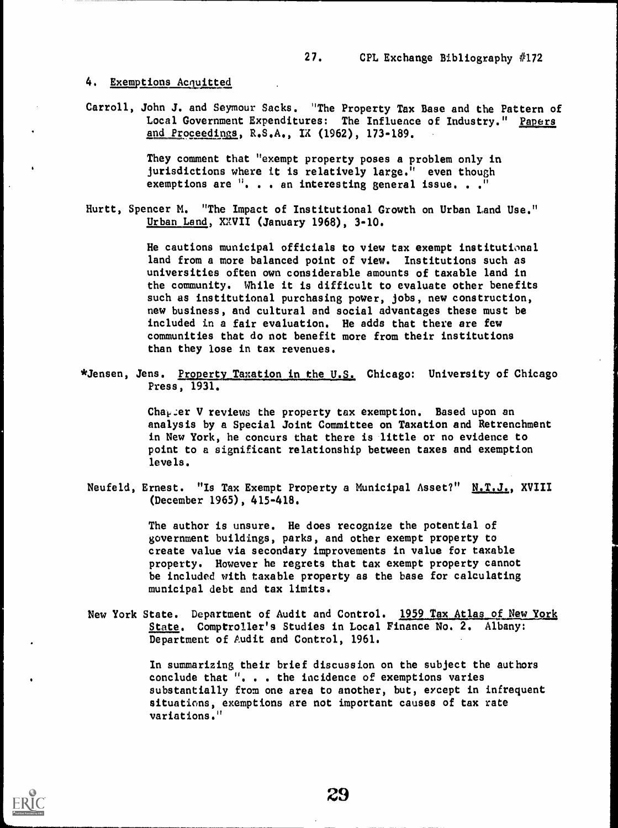#### 4. Exemptions Acquitted

Carroll, John J. and Seymour Sacks. "The Property Tax Base and the Pattern of Local Government Expenditures: The Influence of Industry." Papers and Proceedims, R.S.A., IX (1962), 173-189.

> They comment that "exempt property poses a problem only in jurisdictions where it is relatively large." even though exemptions are ". . . an interesting general issue. . . "

Hurtt, Spencer M. "The Impact of Institutional Growth on Urban Land Use." Urban Land, XXVII (January 1968), 3-10.

> He cautions municipal officials to view tax exempt institutional land from a more balanced point of view. Institutions such as universities often own considerable amounts of taxable land in the community. While it is difficult to evaluate other benefits such as institutional purchasing power, jobs, new construction, new business, and cultural and social advantages these must be included in a fair evaluation. He adds that there are few communities that do not benefit more from their institutions than they lose in tax revenues.

\*Jensen, Jens. Property Taxation in the U.S. Chicago: University of Chicago Press, 1931.

> Cha<sub>r</sub> er V reviews the property tax exemption. Based upon an analysis by a Special Joint Committee on Taxation and Retrenchment in New York, he concurs that there is little or no evidence to point to a significant relationship between taxes and exemption levels.

Neufeld, Ernest. "Is Tax Exempt Property a Municipal Asset?" N.T.J., XVIII (December 1965), 415-418.

> The author is unsure. He does recognize the potential of government buildings, parks, and other exempt property to create value via secondary improvements in value for taxable property. However he regrets that tax exempt property cannot be included with taxable property as the base for calculating municipal debt and tax limits.

New York State. Department of Audit and Control. 1959 Tax Atlas of New York State. Comptroller's Studies in Local Finance No. 2. Albany: Department of Audit and Control, 1961.

> In summarizing their brief discussion on the subject the authors conclude that ", . . the incidence of exemptions varies substantially from one area to another, but, except in infrequent situations, exemptions are not important causes of tax rate variations."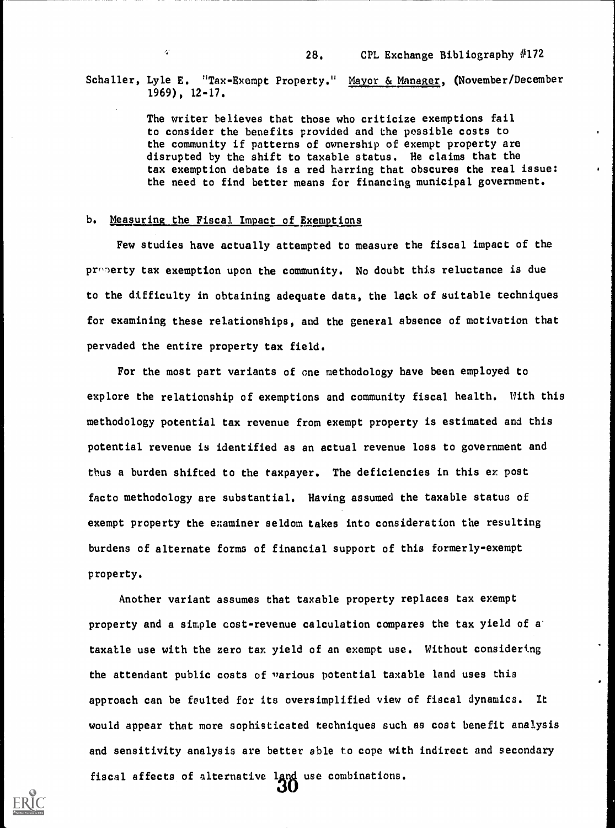#### Schaller, Lyle E. "Tax-Exempt Property." Mayor & Manager, (November/December 1969), 12-17.

The writer believes that those who criticize exemptions fail to consider the benefits provided and the possible costs to the community if patterns of ownership of exempt property are disrupted by the shift to taxable status. He claims that the tax exemption debate is a red herring that obscures the real issue: the need to find better means for financing municipal government.

#### b. Measuring the Fiscal Impact of Exemptions

 $\mathcal{G}$ 

Few studies have actually attempted to measure the fiscal impact of the  $pr \cap$  erty tax exemption upon the community. No doubt this reluctance is due to the difficulty in obtaining adequate data, the lack of suitable techniques for examining these relationships, and the general absence of motivation that pervaded the entire property tax field.

For the most part variants of one methodology have been employed to explore the relationship of exemptions and community fiscal health. With this methodology potential tax revenue from exempt property is estimated and this potential revenue is identified as an actual revenue loss to government and thus a burden shifted to the taxpayer. The deficiencies in this ex post facto methodology are substantial. Having assumed the taxable status of exempt property the examiner seldom takes into consideration the resulting burdens of alternate forms of financial support of this formerly-exempt property.

Another variant assumes that taxable property replaces tax exempt property and a simple cost-revenue calculation compares the tax yield of a' taxable use with the zero tax yield of an exempt use. Without considering the attendant public costs of "arious potential taxable land uses this approach can be faulted for its oversimplified view of fiscal dynamics. It would appear that more sophisticated techniques such as cost benefit analysis and sensitivity analysis are better able to cope with indirect and secondary fiscal affects of alternative land use combinations.<br>  $\Omega$ 

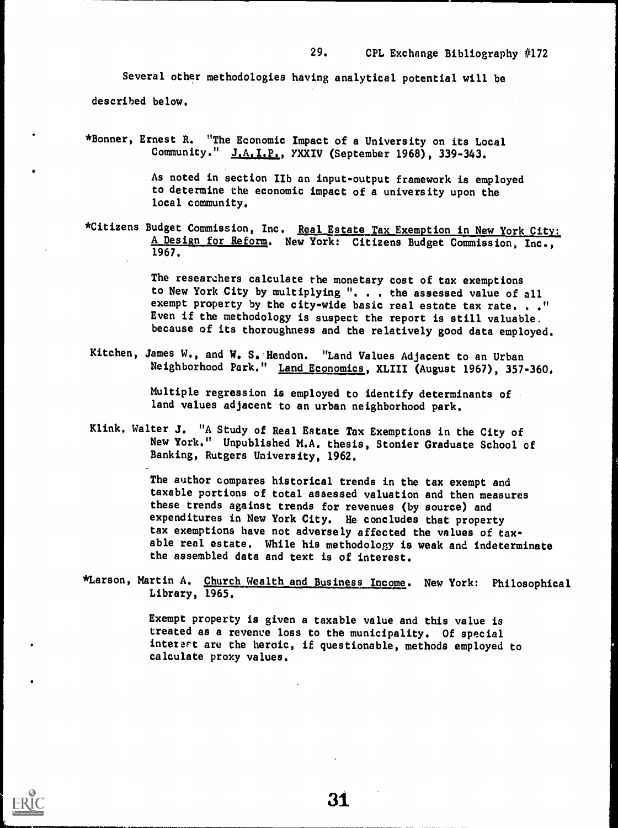Several other methodologies having analytical potential will be described below.

\*Bonner, Ernest R. "The Economic Impact of a University on its Local Community." J.A. I.P., YXXIV (September 1968), 339-343.

> As noted in section IIb an input-output framework is employed to determine the economic impact of a university upon the local community.

\*Citizens Budget Commission, Inc. Real Estate Tax Exemption in New York City: A Design for Reform. New York: Citizens Budget Commission, Inc., 1967.

> The researzhers calculate the monetary cost of tax exemptions to New York City by multiplying ". . . the assessed value of all exempt property by the city-wide basic real estate tax rate. . . " Even if the methodology is suspect the report is still valuable. because of its thoroughness and the relatively good data employed.

Kitchen, James W., and W. S. Hendon. "Land Values Adjacent to an Urban Neighborhood Park." Land Economics, XLIII (August 1967), 357-360.

> Multiple regression is employed to identify determinants of land values adjacent to an urban neighborhood park.

Klink, Walter J. "A Study of Real Estate Tax Exemptions in the City of New York." Unpublished M.A. thesis, Stonier Graduate School of Banking, Rutgers University, 1962.

> The author compares historical trends in the tax exempt and taxable portions of total assessed valuation and then measures these trends against trends for revenues (by source) and expenditures in New York City. He concludes that property tax exemptions have not adversely affected the values of taxable real estate. While his methodology is weak and indeterminate the assembled data and text is of interest.

\*Larson, Martin A. Church Wealth and Business Income. New York: Philosophical Library, 1965.

> Exempt property is given a taxable value and this value is treated as a revenve loss to the municipality. Of special interart are the heroic, if questionable, methods employed to calculate proxy values.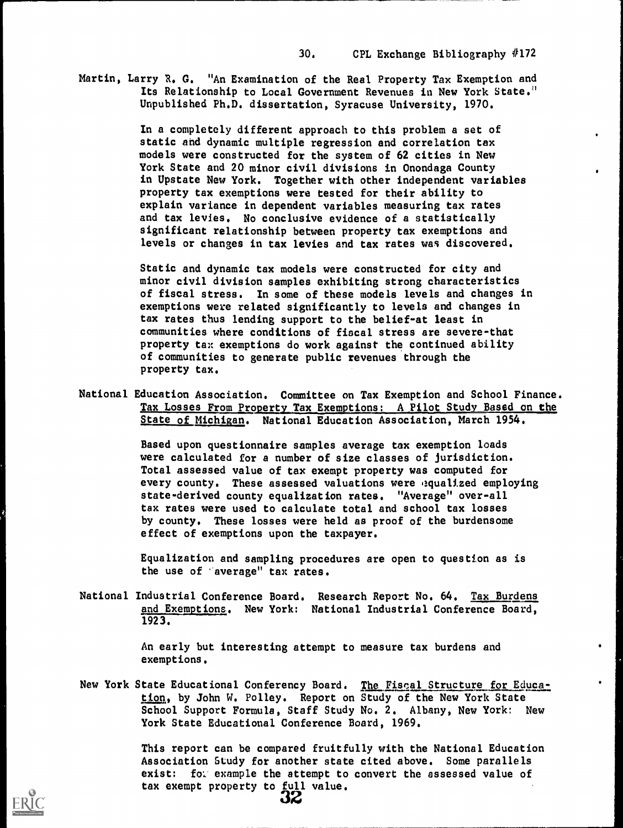Martin, Larry R. G. "An Examination of the Real Property Tax Exemption and Its Relationship to Local Government Revenues in New York State." Unpublished Ph.D. dissertation, Syracuse University, 1970.

> In a completely different approach to this problem a set of static and dynamic multiple regression and correlation tax models were constructed for the system of 62 cities in New York State and 20 minor civil divisions in Onondaga County in Upstate New York. Together with other independent variables property tax exemptions were tested for their ability to explain variance in dependent variables measuring tax rates and tax levies. No conclusive evidence of a statistically significant relationship between property tax exemptions and levels or changes in tax levies and tax rates was discovered.

Static and dynamic tax models were constructed for city and minor civil division samples exhibiting strong characteristics of fiscal stress. In some of these models levels and changes in exemptions were related significantly to levels and changes in tax rates thus lending support to the belief-at least in communities where conditions of fiscal stress are severe-that property tax exemptions do work against the continued ability of communities to generate public revenues through the property tax.

National Education Association. Committee on Tax Exemption and School Finance. Tax Losses From Property Tax Exemptions: A Pilot Study Based on the State of Michigan. National Education Association, March 1954.

> Based upon questionnaire samples average tax exemption loads were calculated for a number of size classes of jurisdiction. Total assessed value of tax exempt property was computed for every county. These assessed valuations were gqualized employing state-derived county equalization rates. "Average" over-all tax rates were used to calculate total and school tax losses by county. These losses were held as proof of the burdensome effect of exemptions upon the taxpayer.

Equalization and sampling procedures are open to question as is the use of 'average" tax rates.

National Industrial Conference Board. Research Report No. 64. Tax Burdens and Exemptions. New York: National Industrial Conference Board, 1923.

> An early but interesting attempt to measure tax burdens and exemptions.

New York State Educational Conferency Board. The Fiscal Structure for Education, by John W. Polley. Report on Study of the New York State School Support Formula, Staff Study No. 2. Albany, New York: New York State Educational Conference Board, 1969.

> This report can be compared fruitfully with the National Education Association Study for another state cited above. Some parallels exist: fol example the attempt to convert the assessed value of tax exempt property to full value.<br>  $32$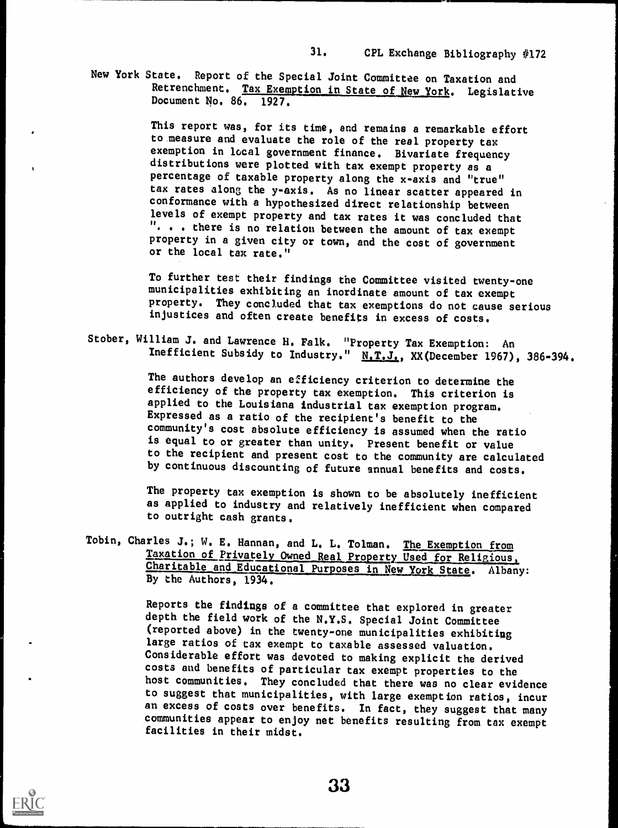New York State. Report of the Special Joint Committee on Taxation and Retrenchment. Tax Exemption in State of New York. Legislative Document No. 86. 1927.

> This report was, for its time, and remains a remarkable effort to measure and evaluate the role of the real property tax exemption in local government finance. Bivariate frequency distributions were plotted with tax exempt property as a percentage of taxable property along the x-axis and "true" tax rates along the y-axis. As no linear scatter appeared in conformance with a hypothesized direct relationship between levels of exempt property and tax rates it was concluded that . . there is no relation between the amount of tax exempt property in a given city or town, and the cost of government or the local tax rate."

To further test their findings the Committee visited twenty-one municipalities exhibiting an inordinate amount of tax exempt property. They concluded that tax exemptions do not cause serious injustices and often create benefits in excess of costs.

Stober, William J. and Lawrence H. Falk. "Property Tax Exemption: An Inefficient Subsidy to Industry." N.T.J., XX(December 1967), 386-394.

> The authors develop an efficiency criterion to determine the efficiency of the property tax exemption. This criterion is applied to the Louisiana industrial tax exemption program. Expressed as a ratio of the recipient's benefit to the community's cost absolute efficiency is assumed when the ratio is equal to or greater than unity. Present benefit or value to the recipient and present cost to the community are calculated by continuous discounting of future annual benefits and costs.

The property tax exemption is shown to be absolutely inefficient as applied to industry and relatively inefficient when compared to outright cash grants.

Tobin, Charles J.; W. E. Hannan, and L. L. Tolman. The Exemption from<br>Taxation of Privately Owned Real Property Used for Religious, Charitable and Educational Purposes in New York State. Albany: By the Authors, 1934.

> Reports the findings of a committee that explored in greater depth the field work of the N.Y.S. Special Joint Committee (reported above) in the twenty-one municipalities exhibiting large ratios of tax exempt to taxable assessed valuation. Considerable effort was devoted to making explicit the derived costs and benefits of particular tax exempt properties to the host communities. They concluded that there was no clear evidence to suggest that municipalities, with large exemption ratios, incur an excess of costs over benefits. In fact, they suggest that many communities appear to enjoy net benefits resulting from tax exempt facilities in their midst.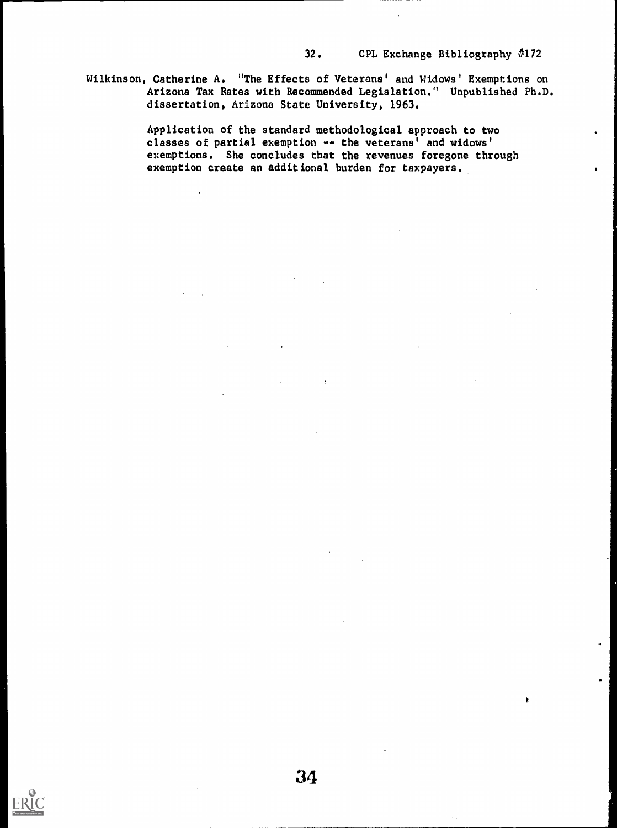Wilkinson, Catherine A. "The Effects of Veterans' and Widows' Exemptions on Arizona Tax Rates with Recommended Legislation." Unpublished Ph.D. dissertation, Arizona State University, 1963.

> Application of the standard methodological approach to two classes of partial exemption -- the veterans' and widows' exemptions. She concludes that the revenues foregone through exemption create an additional burden for taxpayers.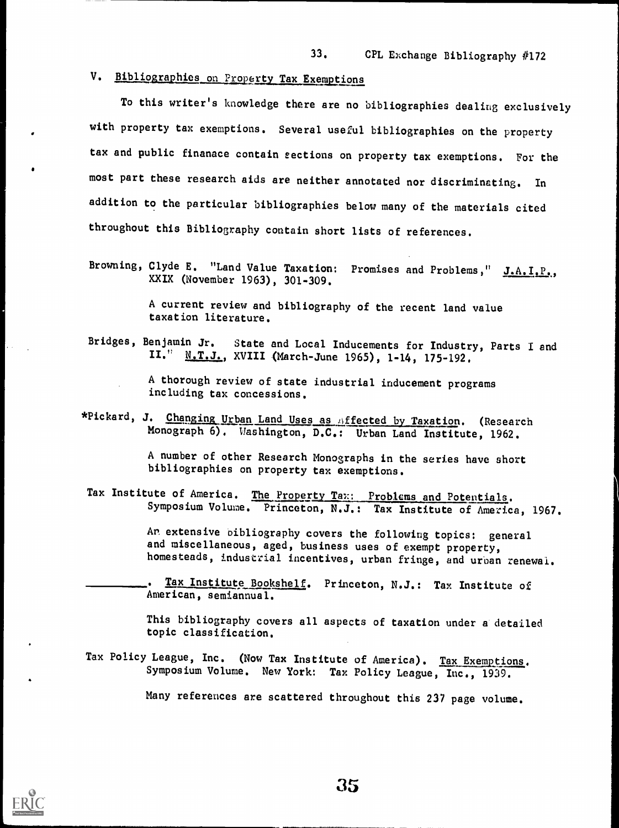#### V. Bibliographies on Property Tax Exemptions

To this writer's knowledge there are no bibliographies dealing exclusively with property tax exemptions. Several useful bibliographies on the property tax and public finanace contain sections on property tax exemptions. For the most part these research aids are neither annotated nor discriminating. In addition to the particular bibliographies below many of the materials cited throughout this Bibliography contain short lists of references.

Browning, Clyde E. "Land Value Taxation: Promises and Problems," J.A. I.P., XXIX (November 1963), 301-309.

> A current review and bibliography of the recent land value taxation literature.

Bridges, Benjamin Jr. State and Local Inducements for Industry, Parts I and II." N.T.J., XVIII (March-June 1965), 1-14, 175-192.

> A thorough review of state industrial inducement programs including tax concessions.

\*Pickard, J. Changing Urban Land Uses as Affected by Taxation. (Research Monograph 6). Washington, D.C.: Urban Land Institute, 1962.

> A number of other Research Monographs in the series have short bibliographies on property tax exemptions.

Tax Institute of America. The Property Tax: Problems and Potentials. Symposium Volume. Princeton, N.J.: Tax Institute of America, 1967.

> An extensive bibliography covers the following topics: general and miscellaneous, aged, business uses of exempt property, homesteads, industrial incentives, urban fringe, and urban renewal.

. Tax Institute Bookshelf. Princeton, N.J.: Tax Institute of American, semiannual.

This bibliography covers all aspects of taxation under a detailed topic classification.

Tax Policy League, Inc. (Now Tax Institute of America). Tax Exemptions. Symposium Volume. New York: Tax Policy League, Inc., 1939.

Many references are scattered throughout this 237 page volume.